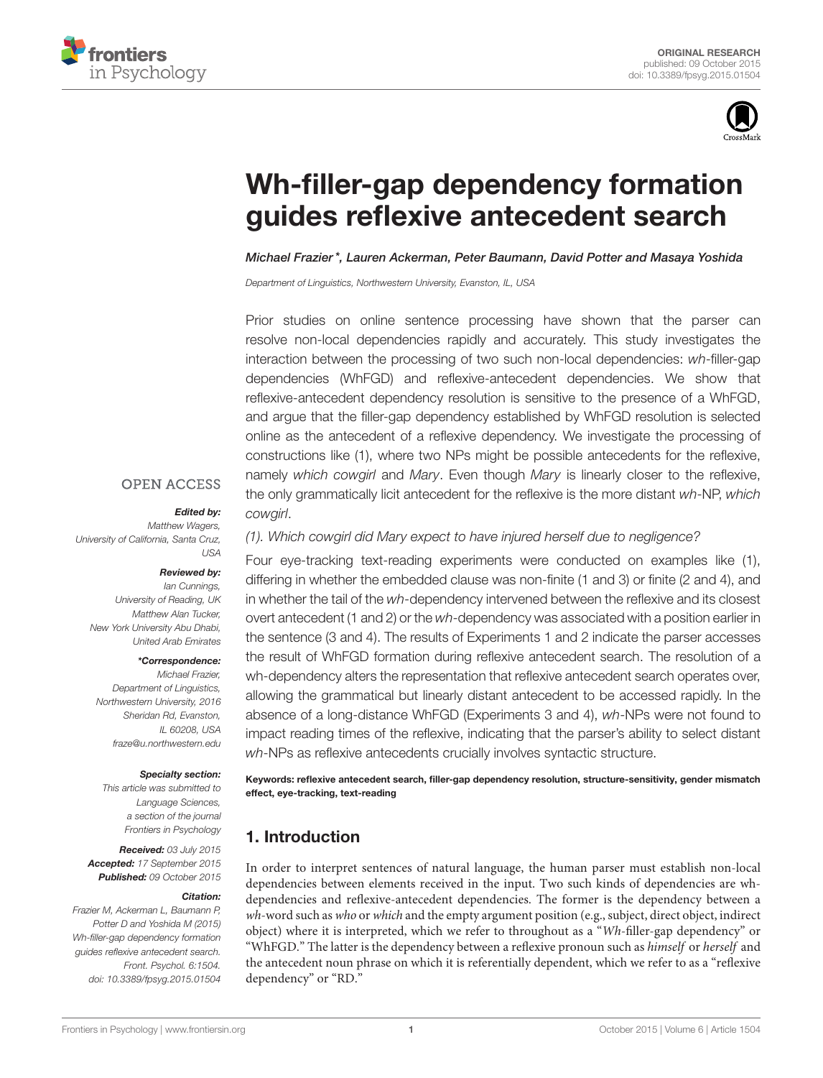



# [Wh-filler-gap dependency formation](http://journal.frontiersin.org/article/10.3389/fpsyg.2015.01504/abstract) guides reflexive antecedent search

[Michael Frazier](http://loop.frontiersin.org/people/233887/overview)\*, [Lauren Ackerman,](http://loop.frontiersin.org/people/257918/overview) [Peter Baumann,](http://loop.frontiersin.org/people/278532/overview) [David Potter](http://loop.frontiersin.org/people/278778/overview) and [Masaya Yoshida](http://loop.frontiersin.org/people/229414/overview)

*Department of Linguistics, Northwestern University, Evanston, IL, USA*

Prior studies on online sentence processing have shown that the parser can resolve non-local dependencies rapidly and accurately. This study investigates the interaction between the processing of two such non-local dependencies: *wh*-filler-gap dependencies (WhFGD) and reflexive-antecedent dependencies. We show that reflexive-antecedent dependency resolution is sensitive to the presence of a WhFGD, and argue that the filler-gap dependency established by WhFGD resolution is selected online as the antecedent of a reflexive dependency. We investigate the processing of constructions like (1), where two NPs might be possible antecedents for the reflexive, namely *which cowgirl* and *Mary*. Even though *Mary* is linearly closer to the reflexive, the only grammatically licit antecedent for the reflexive is the more distant *wh*-NP, *which cowgirl*.

### **OPEN ACCESS**

#### Edited by:

*Matthew Wagers, University of California, Santa Cruz, USA*

#### Reviewed by:

*Ian Cunnings, University of Reading, UK Matthew Alan Tucker, New York University Abu Dhabi, United Arab Emirates*

#### \*Correspondence:

*Michael Frazier, Department of Linguistics, Northwestern University, 2016 Sheridan Rd, Evanston, IL 60208, USA [fraze@u.northwestern.edu](mailto:fraze@u.northwestern.edu)*

#### Specialty section:

*This article was submitted to Language Sciences, a section of the journal Frontiers in Psychology*

Received: *03 July 2015* Accepted: *17 September 2015* Published: *09 October 2015*

#### Citation:

*Frazier M, Ackerman L, Baumann P, Potter D and Yoshida M (2015) Wh-filler-gap dependency formation guides reflexive antecedent search. Front. Psychol. 6:1504. doi: [10.3389/fpsyg.2015.01504](http://dx.doi.org/10.3389/fpsyg.2015.01504)* *(1). Which cowgirl did Mary expect to have injured herself due to negligence?*

Four eye-tracking text-reading experiments were conducted on examples like (1), differing in whether the embedded clause was non-finite (1 and 3) or finite (2 and 4), and in whether the tail of the *wh*-dependency intervened between the reflexive and its closest overt antecedent (1 and 2) or the *wh*-dependency was associated with a position earlier in the sentence (3 and 4). The results of Experiments 1 and 2 indicate the parser accesses the result of WhFGD formation during reflexive antecedent search. The resolution of a wh-dependency alters the representation that reflexive antecedent search operates over, allowing the grammatical but linearly distant antecedent to be accessed rapidly. In the absence of a long-distance WhFGD (Experiments 3 and 4), *wh*-NPs were not found to impact reading times of the reflexive, indicating that the parser's ability to select distant *wh*-NPs as reflexive antecedents crucially involves syntactic structure.

Keywords: reflexive antecedent search, filler-gap dependency resolution, structure-sensitivity, gender mismatch effect, eye-tracking, text-reading

# <span id="page-0-0"></span>1. Introduction

In order to interpret sentences of natural language, the human parser must establish non-local dependencies between elements received in the input. Two such kinds of dependencies are whdependencies and reflexive-antecedent dependencies. The former is the dependency between a  $wh$ -word such as who or which and the empty argument position (e.g., subject, direct object, indirect object) where it is interpreted, which we refer to throughout as a "Wh-filler-gap dependency" or "WhFGD." The latter is the dependency between a reflexive pronoun such as himself or herself and the antecedent noun phrase on which it is referentially dependent, which we refer to as a "reflexive dependency" or "RD."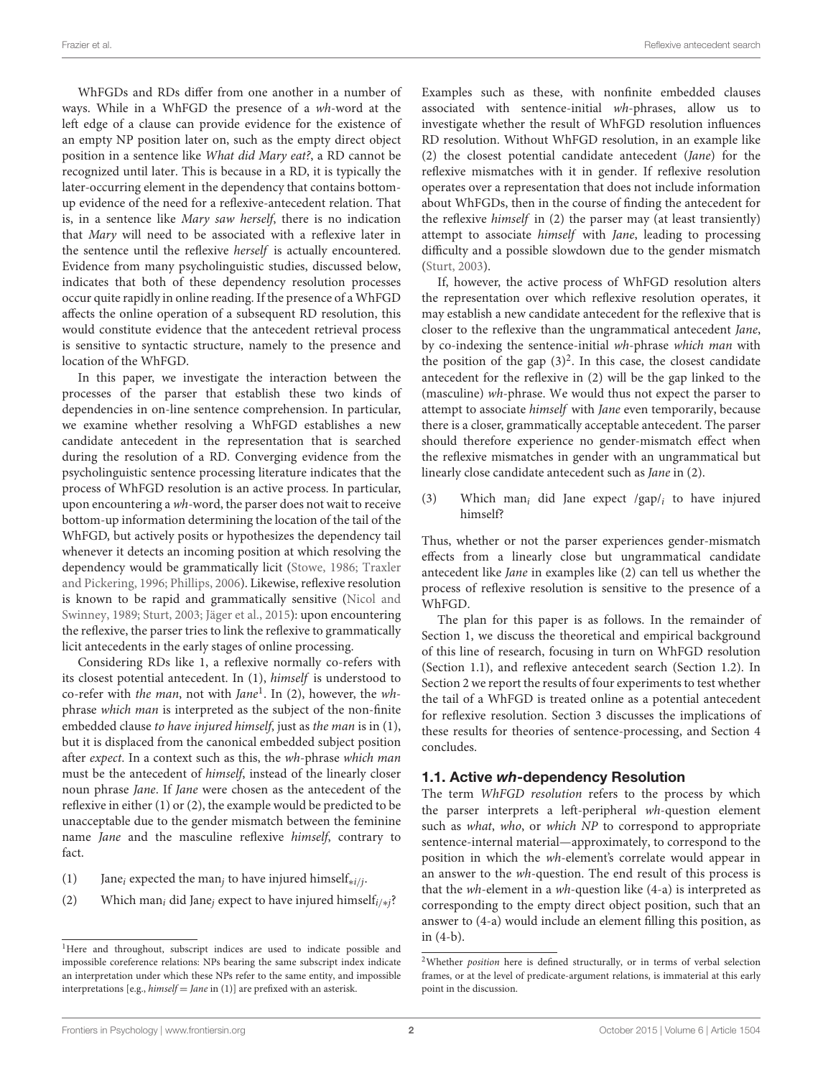WhFGDs and RDs differ from one another in a number of ways. While in a WhFGD the presence of a wh-word at the left edge of a clause can provide evidence for the existence of an empty NP position later on, such as the empty direct object position in a sentence like What did Mary eat?, a RD cannot be recognized until later. This is because in a RD, it is typically the later-occurring element in the dependency that contains bottomup evidence of the need for a reflexive-antecedent relation. That is, in a sentence like Mary saw herself, there is no indication that Mary will need to be associated with a reflexive later in the sentence until the reflexive herself is actually encountered. Evidence from many psycholinguistic studies, discussed below, indicates that both of these dependency resolution processes occur quite rapidly in online reading. If the presence of a WhFGD affects the online operation of a subsequent RD resolution, this would constitute evidence that the antecedent retrieval process is sensitive to syntactic structure, namely to the presence and location of the WhFGD.

In this paper, we investigate the interaction between the processes of the parser that establish these two kinds of dependencies in on-line sentence comprehension. In particular, we examine whether resolving a WhFGD establishes a new candidate antecedent in the representation that is searched during the resolution of a RD. Converging evidence from the psycholinguistic sentence processing literature indicates that the process of WhFGD resolution is an active process. In particular, upon encountering a wh-word, the parser does not wait to receive bottom-up information determining the location of the tail of the WhFGD, but actively posits or hypothesizes the dependency tail whenever it detects an incoming position at which resolving the dependency would be grammatically licit [\(Stowe, 1986;](#page-18-0) Traxler and Pickering, [1996;](#page-18-1) [Phillips, 2006\)](#page-18-2). Likewise, reflexive resolution is known to be rapid and grammatically sensitive (Nicol and Swinney, [1989;](#page-18-3) [Sturt, 2003;](#page-18-4) [Jäger et al., 2015\)](#page-18-5): upon encountering the reflexive, the parser tries to link the reflexive to grammatically licit antecedents in the early stages of online processing.

Considering RDs like 1, a reflexive normally co-refers with its closest potential antecedent. In [\(1\),](#page-1-0) himself is understood to co-refer with the man, not with Jane<sup>[1](#page-1-1)</sup>. In [\(2\),](#page-1-2) however, the whphrase which man is interpreted as the subject of the non-finite embedded clause to have injured himself, just as the man is in [\(1\),](#page-1-0) but it is displaced from the canonical embedded subject position after expect. In a context such as this, the wh-phrase which man must be the antecedent of himself, instead of the linearly closer noun phrase Jane. If Jane were chosen as the antecedent of the reflexive in either [\(1\)](#page-1-0) or [\(2\),](#page-1-2) the example would be predicted to be unacceptable due to the gender mismatch between the feminine name Jane and the masculine reflexive himself, contrary to fact.

- <span id="page-1-2"></span><span id="page-1-0"></span>(1) Jane<sub>i</sub> expected the man<sub>j</sub> to have injured himself<sub>\*i/j</sub>.
- (2) Which man<sub>i</sub> did Jane<sub>j</sub> expect to have injured himself<sub>i/\*j</sub>?

Examples such as these, with nonfinite embedded clauses associated with sentence-initial wh-phrases, allow us to investigate whether the result of WhFGD resolution influences RD resolution. Without WhFGD resolution, in an example like [\(2\)](#page-1-2) the closest potential candidate antecedent (Jane) for the reflexive mismatches with it in gender. If reflexive resolution operates over a representation that does not include information about WhFGDs, then in the course of finding the antecedent for the reflexive himself in [\(2\)](#page-1-2) the parser may (at least transiently) attempt to associate himself with Jane, leading to processing difficulty and a possible slowdown due to the gender mismatch [\(Sturt, 2003\)](#page-18-4).

If, however, the active process of WhFGD resolution alters the representation over which reflexive resolution operates, it may establish a new candidate antecedent for the reflexive that is closer to the reflexive than the ungrammatical antecedent Jane, by co-indexing the sentence-initial wh-phrase which man with the position of the gap  $(3)^2$  $(3)^2$ . In this case, the closest candidate antecedent for the reflexive in [\(2\)](#page-1-2) will be the gap linked to the (masculine) wh-phrase. We would thus not expect the parser to attempt to associate himself with Jane even temporarily, because there is a closer, grammatically acceptable antecedent. The parser should therefore experience no gender-mismatch effect when the reflexive mismatches in gender with an ungrammatical but linearly close candidate antecedent such as Jane in [\(2\).](#page-1-2)

<span id="page-1-3"></span>(3) Which man<sub>i</sub> did Jane expect  $/gap/<sub>i</sub>$  to have injured himself?

Thus, whether or not the parser experiences gender-mismatch effects from a linearly close but ungrammatical candidate antecedent like Jane in examples like [\(2\)](#page-1-2) can tell us whether the process of reflexive resolution is sensitive to the presence of a WhFGD.

The plan for this paper is as follows. In the remainder of Section [1,](#page-0-0) we discuss the theoretical and empirical background of this line of research, focusing in turn on WhFGD resolution (Section [1.1\)](#page-1-5), and reflexive antecedent search (Section [1.2\)](#page-2-0). In Section [2](#page-5-0) we report the results of four experiments to test whether the tail of a WhFGD is treated online as a potential antecedent for reflexive resolution. Section [3](#page-15-0) discusses the implications of these results for theories of sentence-processing, and Section [4](#page-17-0) concludes.

### <span id="page-1-5"></span>1.1. Active wh-dependency Resolution

The term WhFGD resolution refers to the process by which the parser interprets a left-peripheral wh-question element such as what, who, or which NP to correspond to appropriate sentence-internal material—approximately, to correspond to the position in which the wh-element's correlate would appear in an answer to the wh-question. The end result of this process is that the  $wh$ -element in a  $wh$ -question like  $(4-a)$  is interpreted as corresponding to the empty direct object position, such that an answer to [\(4-a\)](#page-2-1) would include an element filling this position, as in [\(4-b\).](#page-2-2)

<span id="page-1-1"></span><sup>&</sup>lt;sup>1</sup>Here and throughout, subscript indices are used to indicate possible and impossible coreference relations: NPs bearing the same subscript index indicate an interpretation under which these NPs refer to the same entity, and impossible interpretations [e.g.,  $himself = Jane$  in [\(1\)\]](#page-1-0) are prefixed with an asterisk.

<span id="page-1-4"></span> $2$ Whether *position* here is defined structurally, or in terms of verbal selection frames, or at the level of predicate-argument relations, is immaterial at this early point in the discussion.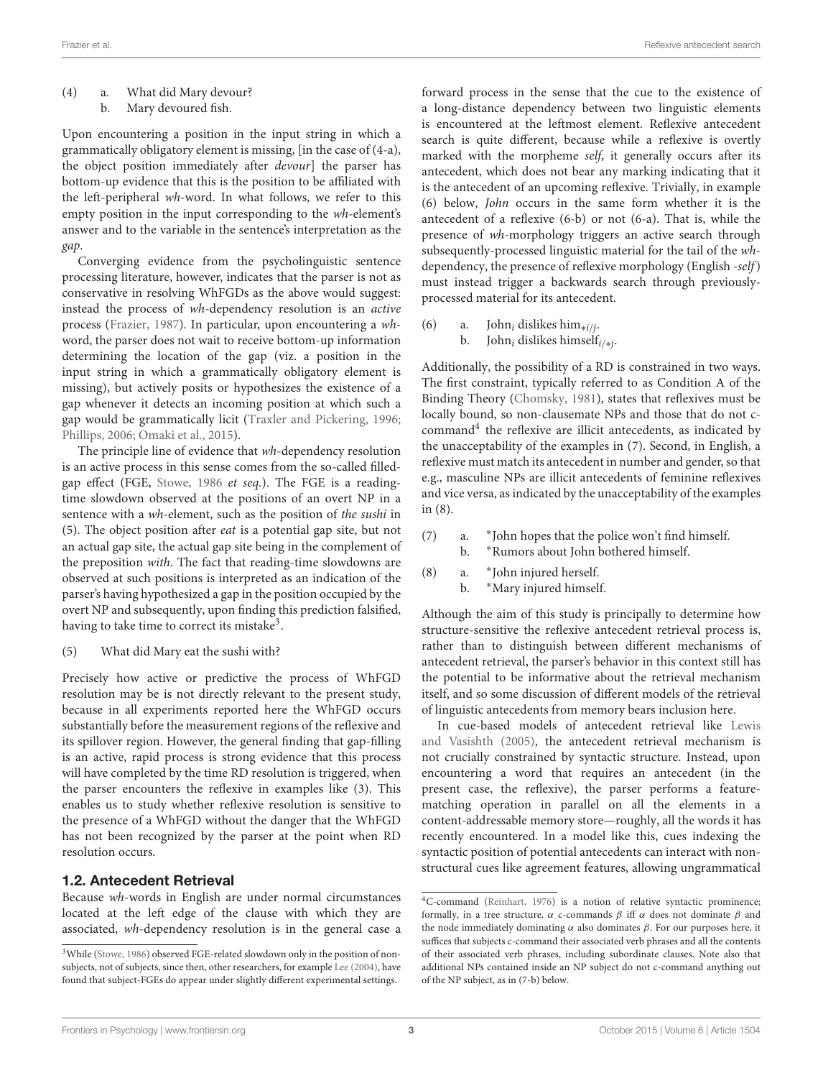<span id="page-2-2"></span><span id="page-2-1"></span>(4) a. What did Mary devour? b. Mary devoured fish.

Upon encountering a position in the input string in which a grammatically obligatory element is missing, [in the case of [\(4-a\),](#page-2-1) the object position immediately after devour] the parser has bottom-up evidence that this is the position to be affiliated with the left-peripheral wh-word. In what follows, we refer to this empty position in the input corresponding to the wh-element's answer and to the variable in the sentence's interpretation as the gap.

Converging evidence from the psycholinguistic sentence processing literature, however, indicates that the parser is not as conservative in resolving WhFGDs as the above would suggest: instead the process of wh-dependency resolution is an active process [\(Frazier, 1987\)](#page-18-6). In particular, upon encountering a whword, the parser does not wait to receive bottom-up information determining the location of the gap (viz. a position in the input string in which a grammatically obligatory element is missing), but actively posits or hypothesizes the existence of a gap whenever it detects an incoming position at which such a gap would be grammatically licit [\(Traxler and Pickering, 1996;](#page-18-1) [Phillips, 2006;](#page-18-2) [Omaki et al., 2015\)](#page-18-7).

The principle line of evidence that wh-dependency resolution is an active process in this sense comes from the so-called filledgap effect (FGE, [Stowe, 1986](#page-18-0) et seq.). The FGE is a readingtime slowdown observed at the positions of an overt NP in a sentence with a wh-element, such as the position of the sushi in [\(5\).](#page-2-3) The object position after eat is a potential gap site, but not an actual gap site, the actual gap site being in the complement of the preposition with. The fact that reading-time slowdowns are observed at such positions is interpreted as an indication of the parser's having hypothesized a gap in the position occupied by the overt NP and subsequently, upon finding this prediction falsified, having to take time to correct its mistake $^3.$  $^3.$  $^3.$ 

(5) What did Mary eat the sushi with?

Precisely how active or predictive the process of WhFGD resolution may be is not directly relevant to the present study, because in all experiments reported here the WhFGD occurs substantially before the measurement regions of the reflexive and its spillover region. However, the general finding that gap-filling is an active, rapid process is strong evidence that this process will have completed by the time RD resolution is triggered, when the parser encounters the reflexive in examples like [\(3\).](#page-1-3) This enables us to study whether reflexive resolution is sensitive to the presence of a WhFGD without the danger that the WhFGD has not been recognized by the parser at the point when RD resolution occurs.

#### <span id="page-2-0"></span>1.2. Antecedent Retrieval

Because wh-words in English are under normal circumstances located at the left edge of the clause with which they are associated, wh-dependency resolution is in the general case a forward process in the sense that the cue to the existence of a long-distance dependency between two linguistic elements is encountered at the leftmost element. Reflexive antecedent search is quite different, because while a reflexive is overtly marked with the morpheme self, it generally occurs after its antecedent, which does not bear any marking indicating that it is the antecedent of an upcoming reflexive. Trivially, in example [\(6\)](#page-2-5) below, John occurs in the same form whether it is the antecedent of a reflexive [\(6-b\)](#page-2-6) or not [\(6-a\).](#page-2-7) That is, while the presence of wh-morphology triggers an active search through subsequently-processed linguistic material for the tail of the whdependency, the presence of reflexive morphology (English -self) must instead trigger a backwards search through previouslyprocessed material for its antecedent.

<span id="page-2-7"></span><span id="page-2-6"></span><span id="page-2-5"></span>(6) a. John<sub>i</sub> dislikes him<sub>\*i/j</sub>. b. John<sub>i</sub> dislikes himself<sub>i/\*j</sub>.

Additionally, the possibility of a RD is constrained in two ways. The first constraint, typically referred to as Condition A of the Binding Theory [\(Chomsky, 1981\)](#page-18-9), states that reflexives must be locally bound, so non-clausemate NPs and those that do not ccommand[4](#page-2-8) the reflexive are illicit antecedents, as indicated by the unacceptability of the examples in [\(7\).](#page-2-9) Second, in English, a reflexive must match its antecedent in number and gender, so that e.g., masculine NPs are illicit antecedents of feminine reflexives and vice versa, as indicated by the unacceptability of the examples in [\(8\).](#page-2-10)

- <span id="page-2-11"></span><span id="page-2-10"></span><span id="page-2-9"></span> $(7)$  a. John hopes that the police won't find himself.
	- b. <sup>∗</sup>Rumors about John bothered himself.
- $(8)$  a. John injured herself.
	- b. <sup>∗</sup>Mary injured himself.

<span id="page-2-3"></span>Although the aim of this study is principally to determine how structure-sensitive the reflexive antecedent retrieval process is, rather than to distinguish between different mechanisms of antecedent retrieval, the parser's behavior in this context still has the potential to be informative about the retrieval mechanism itself, and so some discussion of different models of the retrieval of linguistic antecedents from memory bears inclusion here.

In cue-based models of antecedent retrieval like Lewis and Vasishth [\(2005\)](#page-18-10), the antecedent retrieval mechanism is not crucially constrained by syntactic structure. Instead, upon encountering a word that requires an antecedent (in the present case, the reflexive), the parser performs a featurematching operation in parallel on all the elements in a content-addressable memory store—roughly, all the words it has recently encountered. In a model like this, cues indexing the syntactic position of potential antecedents can interact with nonstructural cues like agreement features, allowing ungrammatical

<span id="page-2-4"></span> $^3\rm{White}$  [\(Stowe, 1986\)](#page-18-0) observed FGE-related slowdown only in the position of nonsubjects, not of subjects, since then, other researchers, for example [Lee \(2004\)](#page-18-8), have found that subject-FGEs do appear under slightly different experimental settings.

<span id="page-2-8"></span><sup>4</sup>C-command [\(Reinhart, 1976\)](#page-18-11) is a notion of relative syntactic prominence; formally, in a tree structure,  $\alpha$  c-commands  $\beta$  iff  $\alpha$  does not dominate  $\beta$  and the node immediately dominating  $\alpha$  also dominates  $\beta$ . For our purposes here, it suffices that subjects c-command their associated verb phrases and all the contents of their associated verb phrases, including subordinate clauses. Note also that additional NPs contained inside an NP subject do not c-command anything out of the NP subject, as in [\(7-b\)](#page-2-11) below.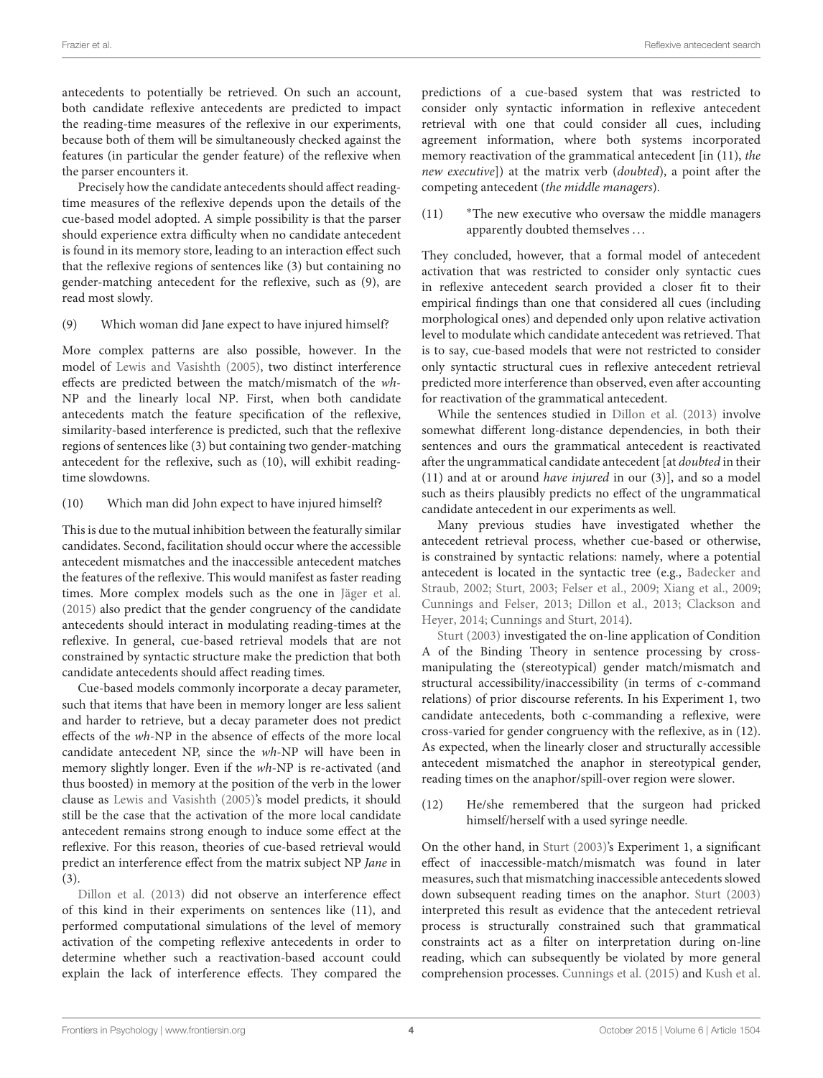antecedents to potentially be retrieved. On such an account, both candidate reflexive antecedents are predicted to impact the reading-time measures of the reflexive in our experiments, because both of them will be simultaneously checked against the features (in particular the gender feature) of the reflexive when the parser encounters it.

Precisely how the candidate antecedents should affect readingtime measures of the reflexive depends upon the details of the cue-based model adopted. A simple possibility is that the parser should experience extra difficulty when no candidate antecedent is found in its memory store, leading to an interaction effect such that the reflexive regions of sentences like [\(3\)](#page-1-3) but containing no gender-matching antecedent for the reflexive, such as [\(9\),](#page-3-0) are read most slowly.

#### <span id="page-3-0"></span>(9) Which woman did Jane expect to have injured himself?

More complex patterns are also possible, however. In the model of [Lewis and Vasishth \(2005\)](#page-18-10), two distinct interference effects are predicted between the match/mismatch of the wh-NP and the linearly local NP. First, when both candidate antecedents match the feature specification of the reflexive, similarity-based interference is predicted, such that the reflexive regions of sentences like [\(3\)](#page-1-3) but containing two gender-matching antecedent for the reflexive, such as [\(10\),](#page-3-1) will exhibit readingtime slowdowns.

### <span id="page-3-1"></span>(10) Which man did John expect to have injured himself?

This is due to the mutual inhibition between the featurally similar candidates. Second, facilitation should occur where the accessible antecedent mismatches and the inaccessible antecedent matches the features of the reflexive. This would manifest as faster reading times. More complex models such as the one in [Jäger et al.](#page-18-5) [\(2015\)](#page-18-5) also predict that the gender congruency of the candidate antecedents should interact in modulating reading-times at the reflexive. In general, cue-based retrieval models that are not constrained by syntactic structure make the prediction that both candidate antecedents should affect reading times.

Cue-based models commonly incorporate a decay parameter, such that items that have been in memory longer are less salient and harder to retrieve, but a decay parameter does not predict effects of the wh-NP in the absence of effects of the more local candidate antecedent NP, since the wh-NP will have been in memory slightly longer. Even if the wh-NP is re-activated (and thus boosted) in memory at the position of the verb in the lower clause as [Lewis and Vasishth \(2005\)](#page-18-10)'s model predicts, it should still be the case that the activation of the more local candidate antecedent remains strong enough to induce some effect at the reflexive. For this reason, theories of cue-based retrieval would predict an interference effect from the matrix subject NP Jane in [\(3\).](#page-1-3)

[Dillon et al. \(2013\)](#page-18-12) did not observe an interference effect of this kind in their experiments on sentences like [\(11\),](#page-3-2) and performed computational simulations of the level of memory activation of the competing reflexive antecedents in order to determine whether such a reactivation-based account could explain the lack of interference effects. They compared the predictions of a cue-based system that was restricted to consider only syntactic information in reflexive antecedent retrieval with one that could consider all cues, including agreement information, where both systems incorporated memory reactivation of the grammatical antecedent [in [\(11\),](#page-3-2) the new executive]) at the matrix verb (doubted), a point after the competing antecedent (the middle managers).

<span id="page-3-2"></span>(11) <sup>∗</sup>The new executive who oversaw the middle managers apparently doubted themselves . . .

They concluded, however, that a formal model of antecedent activation that was restricted to consider only syntactic cues in reflexive antecedent search provided a closer fit to their empirical findings than one that considered all cues (including morphological ones) and depended only upon relative activation level to modulate which candidate antecedent was retrieved. That is to say, cue-based models that were not restricted to consider only syntactic structural cues in reflexive antecedent retrieval predicted more interference than observed, even after accounting for reactivation of the grammatical antecedent.

While the sentences studied in [Dillon et al. \(2013\)](#page-18-12) involve somewhat different long-distance dependencies, in both their sentences and ours the grammatical antecedent is reactivated after the ungrammatical candidate antecedent [at doubted in their [\(11\)](#page-3-2) and at or around have injured in our [\(3\)\]](#page-1-3), and so a model such as theirs plausibly predicts no effect of the ungrammatical candidate antecedent in our experiments as well.

Many previous studies have investigated whether the antecedent retrieval process, whether cue-based or otherwise, is constrained by syntactic relations: namely, where a potential antecedent is located in the syntactic tree (e.g., Badecker and Straub, [2002;](#page-18-13) [Sturt, 2003;](#page-18-4) [Felser et al., 2009;](#page-18-14) [Xiang et al.,](#page-18-15) [2009;](#page-18-15) [Cunnings and Felser, 2013;](#page-18-16) [Dillon et al., 2013;](#page-18-12) Clackson and Heyer, [2014;](#page-18-17) [Cunnings and Sturt, 2014\)](#page-18-18).

[Sturt \(2003\)](#page-18-4) investigated the on-line application of Condition A of the Binding Theory in sentence processing by crossmanipulating the (stereotypical) gender match/mismatch and structural accessibility/inaccessibility (in terms of c-command relations) of prior discourse referents. In his Experiment 1, two candidate antecedents, both c-commanding a reflexive, were cross-varied for gender congruency with the reflexive, as in [\(12\).](#page-3-3) As expected, when the linearly closer and structurally accessible antecedent mismatched the anaphor in stereotypical gender, reading times on the anaphor/spill-over region were slower.

<span id="page-3-3"></span>(12) He/she remembered that the surgeon had pricked himself/herself with a used syringe needle.

On the other hand, in [Sturt \(2003\)](#page-18-4)'s Experiment 1, a significant effect of inaccessible-match/mismatch was found in later measures, such that mismatching inaccessible antecedents slowed down subsequent reading times on the anaphor. [Sturt \(2003\)](#page-18-4) interpreted this result as evidence that the antecedent retrieval process is structurally constrained such that grammatical constraints act as a filter on interpretation during on-line reading, which can subsequently be violated by more general comprehension processes. [Cunnings et al. \(2015\)](#page-18-19) and [Kush et al.](#page-18-20)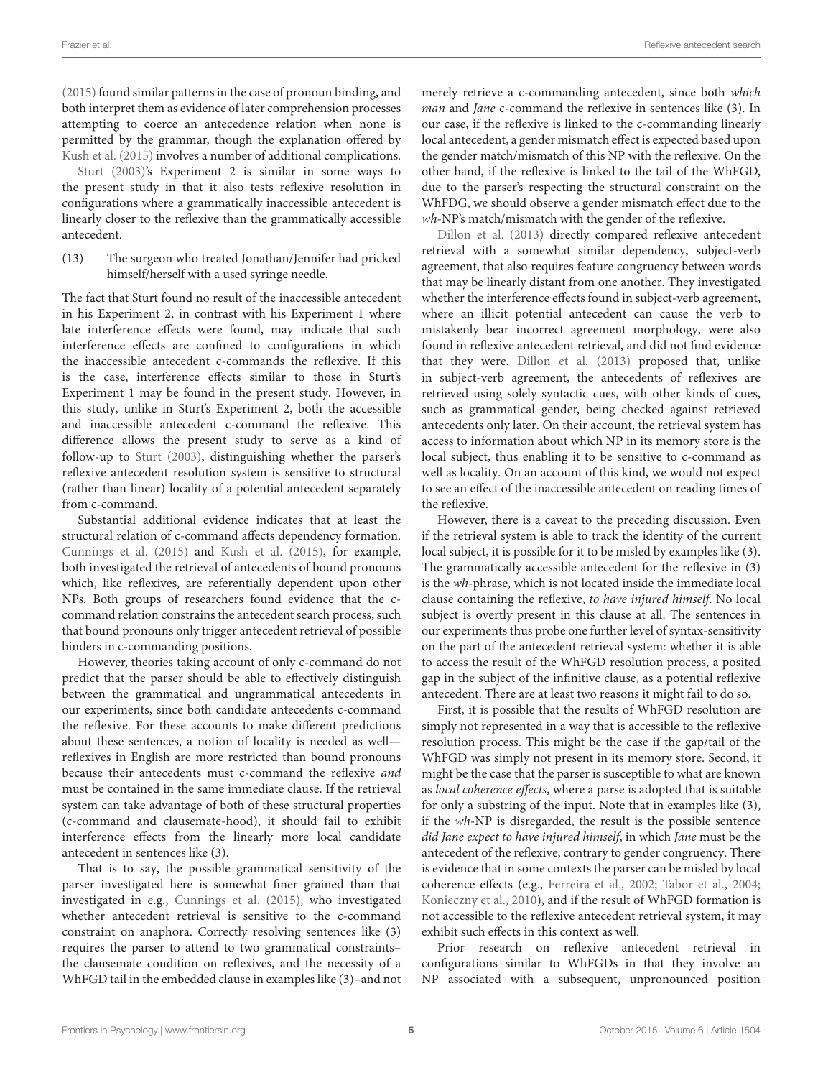[\(2015\)](#page-18-20) found similar patterns in the case of pronoun binding, and both interpret them as evidence of later comprehension processes attempting to coerce an antecedence relation when none is permitted by the grammar, though the explanation offered by [Kush et al. \(2015\)](#page-18-20) involves a number of additional complications.

[Sturt \(2003\)](#page-18-4)'s Experiment 2 is similar in some ways to the present study in that it also tests reflexive resolution in configurations where a grammatically inaccessible antecedent is linearly closer to the reflexive than the grammatically accessible antecedent.

(13) The surgeon who treated Jonathan/Jennifer had pricked himself/herself with a used syringe needle.

The fact that Sturt found no result of the inaccessible antecedent in his Experiment 2, in contrast with his Experiment 1 where late interference effects were found, may indicate that such interference effects are confined to configurations in which the inaccessible antecedent c-commands the reflexive. If this is the case, interference effects similar to those in Sturt's Experiment 1 may be found in the present study. However, in this study, unlike in Sturt's Experiment 2, both the accessible and inaccessible antecedent c-command the reflexive. This difference allows the present study to serve as a kind of follow-up to [Sturt \(2003\)](#page-18-4), distinguishing whether the parser's reflexive antecedent resolution system is sensitive to structural (rather than linear) locality of a potential antecedent separately from c-command.

Substantial additional evidence indicates that at least the structural relation of c-command affects dependency formation. [Cunnings et al. \(2015\)](#page-18-19) and [Kush et al. \(2015\)](#page-18-20), for example, both investigated the retrieval of antecedents of bound pronouns which, like reflexives, are referentially dependent upon other NPs. Both groups of researchers found evidence that the ccommand relation constrains the antecedent search process, such that bound pronouns only trigger antecedent retrieval of possible binders in c-commanding positions.

However, theories taking account of only c-command do not predict that the parser should be able to effectively distinguish between the grammatical and ungrammatical antecedents in our experiments, since both candidate antecedents c-command the reflexive. For these accounts to make different predictions about these sentences, a notion of locality is needed as well reflexives in English are more restricted than bound pronouns because their antecedents must c-command the reflexive and must be contained in the same immediate clause. If the retrieval system can take advantage of both of these structural properties (c-command and clausemate-hood), it should fail to exhibit interference effects from the linearly more local candidate antecedent in sentences like [\(3\).](#page-1-3)

That is to say, the possible grammatical sensitivity of the parser investigated here is somewhat finer grained than that investigated in e.g., [Cunnings et al. \(2015\)](#page-18-19), who investigated whether antecedent retrieval is sensitive to the c-command constraint on anaphora. Correctly resolving sentences like [\(3\)](#page-1-3) requires the parser to attend to two grammatical constraints– the clausemate condition on reflexives, and the necessity of a WhFGD tail in the embedded clause in examples like [\(3\)–](#page-1-3)and not merely retrieve a c-commanding antecedent, since both which man and Jane c-command the reflexive in sentences like [\(3\).](#page-1-3) In our case, if the reflexive is linked to the c-commanding linearly local antecedent, a gender mismatch effect is expected based upon the gender match/mismatch of this NP with the reflexive. On the other hand, if the reflexive is linked to the tail of the WhFGD, due to the parser's respecting the structural constraint on the WhFDG, we should observe a gender mismatch effect due to the wh-NP's match/mismatch with the gender of the reflexive.

[Dillon et al. \(2013\)](#page-18-12) directly compared reflexive antecedent retrieval with a somewhat similar dependency, subject-verb agreement, that also requires feature congruency between words that may be linearly distant from one another. They investigated whether the interference effects found in subject-verb agreement, where an illicit potential antecedent can cause the verb to mistakenly bear incorrect agreement morphology, were also found in reflexive antecedent retrieval, and did not find evidence that they were. [Dillon et al. \(2013\)](#page-18-12) proposed that, unlike in subject-verb agreement, the antecedents of reflexives are retrieved using solely syntactic cues, with other kinds of cues, such as grammatical gender, being checked against retrieved antecedents only later. On their account, the retrieval system has access to information about which NP in its memory store is the local subject, thus enabling it to be sensitive to c-command as well as locality. On an account of this kind, we would not expect to see an effect of the inaccessible antecedent on reading times of the reflexive.

However, there is a caveat to the preceding discussion. Even if the retrieval system is able to track the identity of the current local subject, it is possible for it to be misled by examples like [\(3\).](#page-1-3) The grammatically accessible antecedent for the reflexive in [\(3\)](#page-1-3) is the wh-phrase, which is not located inside the immediate local clause containing the reflexive, to have injured himself. No local subject is overtly present in this clause at all. The sentences in our experiments thus probe one further level of syntax-sensitivity on the part of the antecedent retrieval system: whether it is able to access the result of the WhFGD resolution process, a posited gap in the subject of the infinitive clause, as a potential reflexive antecedent. There are at least two reasons it might fail to do so.

First, it is possible that the results of WhFGD resolution are simply not represented in a way that is accessible to the reflexive resolution process. This might be the case if the gap/tail of the WhFGD was simply not present in its memory store. Second, it might be the case that the parser is susceptible to what are known as local coherence effects, where a parse is adopted that is suitable for only a substring of the input. Note that in examples like [\(3\),](#page-1-3) if the wh-NP is disregarded, the result is the possible sentence did Jane expect to have injured himself, in which Jane must be the antecedent of the reflexive, contrary to gender congruency. There is evidence that in some contexts the parser can be misled by local coherence effects (e.g., [Ferreira et al., 2002;](#page-18-21) [Tabor et al., 2004;](#page-18-22) [Konieczny et al., 2010\)](#page-18-23), and if the result of WhFGD formation is not accessible to the reflexive antecedent retrieval system, it may exhibit such effects in this context as well.

Prior research on reflexive antecedent retrieval in configurations similar to WhFGDs in that they involve an NP associated with a subsequent, unpronounced position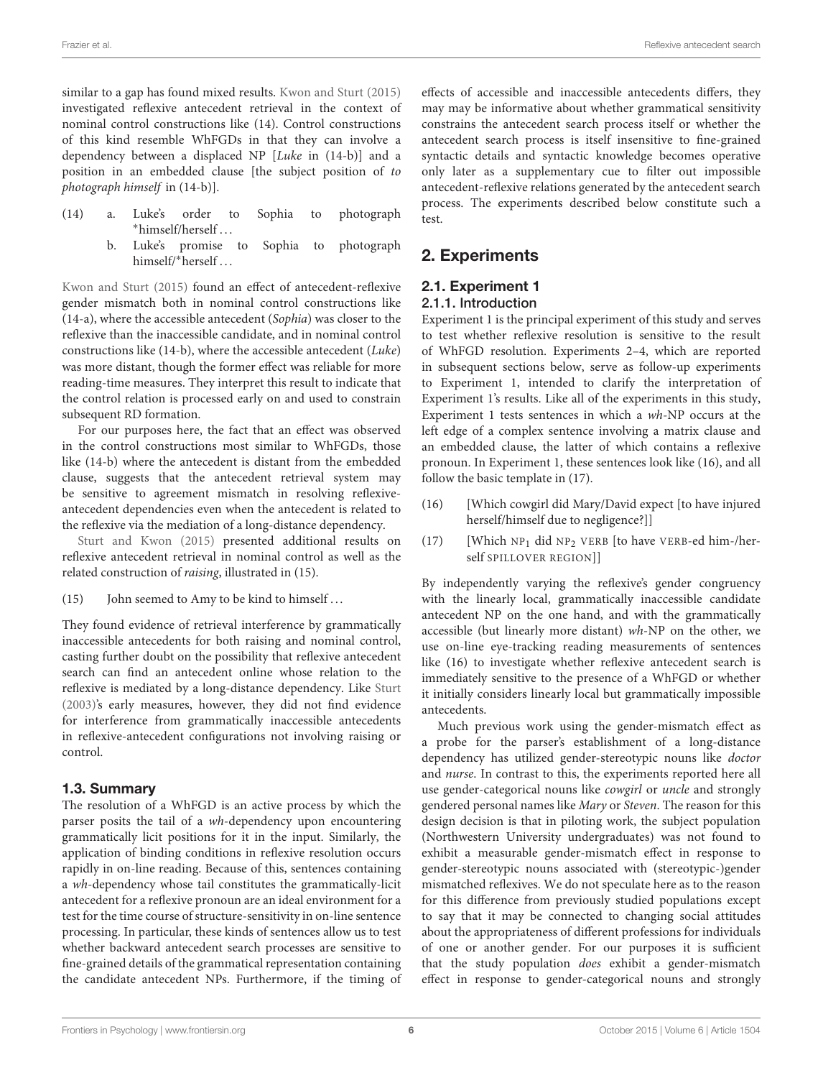similar to a gap has found mixed results. [Kwon and Sturt \(2015\)](#page-18-24) investigated reflexive antecedent retrieval in the context of nominal control constructions like [\(14\).](#page-5-1) Control constructions of this kind resemble WhFGDs in that they can involve a dependency between a displaced NP [Luke in [\(14-b\)\]](#page-5-2) and a position in an embedded clause [the subject position of to photograph himself in [\(14-b\)\]](#page-5-2).

- <span id="page-5-3"></span><span id="page-5-2"></span><span id="page-5-1"></span>(14) a. Luke's order to Sophia to photograph <sup>∗</sup>himself/herself . . .
	- b. Luke's promise to Sophia to photograph himself/∗herself . . .

[Kwon and Sturt \(2015\)](#page-18-24) found an effect of antecedent-reflexive gender mismatch both in nominal control constructions like [\(14-a\),](#page-5-3) where the accessible antecedent (Sophia) was closer to the reflexive than the inaccessible candidate, and in nominal control constructions like [\(14-b\),](#page-5-2) where the accessible antecedent (Luke) was more distant, though the former effect was reliable for more reading-time measures. They interpret this result to indicate that the control relation is processed early on and used to constrain subsequent RD formation.

For our purposes here, the fact that an effect was observed in the control constructions most similar to WhFGDs, those like [\(14-b\)](#page-5-2) where the antecedent is distant from the embedded clause, suggests that the antecedent retrieval system may be sensitive to agreement mismatch in resolving reflexiveantecedent dependencies even when the antecedent is related to the reflexive via the mediation of a long-distance dependency.

[Sturt and Kwon \(2015\)](#page-18-25) presented additional results on reflexive antecedent retrieval in nominal control as well as the related construction of raising, illustrated in [\(15\).](#page-5-4)

(15) John seemed to Amy to be kind to himself . . .

They found evidence of retrieval interference by grammatically inaccessible antecedents for both raising and nominal control, casting further doubt on the possibility that reflexive antecedent search can find an antecedent online whose relation to the reflexive is mediated by a long-distance dependency. Like [Sturt](#page-18-4) [\(2003\)](#page-18-4)'s early measures, however, they did not find evidence for interference from grammatically inaccessible antecedents in reflexive-antecedent configurations not involving raising or control.

### 1.3. Summary

The resolution of a WhFGD is an active process by which the parser posits the tail of a wh-dependency upon encountering grammatically licit positions for it in the input. Similarly, the application of binding conditions in reflexive resolution occurs rapidly in on-line reading. Because of this, sentences containing a wh-dependency whose tail constitutes the grammatically-licit antecedent for a reflexive pronoun are an ideal environment for a test for the time course of structure-sensitivity in on-line sentence processing. In particular, these kinds of sentences allow us to test whether backward antecedent search processes are sensitive to fine-grained details of the grammatical representation containing the candidate antecedent NPs. Furthermore, if the timing of

effects of accessible and inaccessible antecedents differs, they may may be informative about whether grammatical sensitivity constrains the antecedent search process itself or whether the antecedent search process is itself insensitive to fine-grained syntactic details and syntactic knowledge becomes operative only later as a supplementary cue to filter out impossible antecedent-reflexive relations generated by the antecedent search process. The experiments described below constitute such a test.

# <span id="page-5-0"></span>2. Experiments

# 2.1. Experiment 1

## 2.1.1. Introduction

Experiment 1 is the principal experiment of this study and serves to test whether reflexive resolution is sensitive to the result of WhFGD resolution. Experiments 2–4, which are reported in subsequent sections below, serve as follow-up experiments to Experiment 1, intended to clarify the interpretation of Experiment 1's results. Like all of the experiments in this study, Experiment 1 tests sentences in which a wh-NP occurs at the left edge of a complex sentence involving a matrix clause and an embedded clause, the latter of which contains a reflexive pronoun. In Experiment 1, these sentences look like [\(16\),](#page-5-5) and all follow the basic template in [\(17\).](#page-5-6)

- <span id="page-5-6"></span><span id="page-5-5"></span>(16) [Which cowgirl did Mary/David expect [to have injured herself/himself due to negligence?]]
- (17) [Which  $NP_1$  did  $NP_2$  VERB [to have VERB-ed him-/herself SPILLOVER REGION]]

<span id="page-5-4"></span>By independently varying the reflexive's gender congruency with the linearly local, grammatically inaccessible candidate antecedent NP on the one hand, and with the grammatically accessible (but linearly more distant) wh-NP on the other, we use on-line eye-tracking reading measurements of sentences like [\(16\)](#page-5-5) to investigate whether reflexive antecedent search is immediately sensitive to the presence of a WhFGD or whether it initially considers linearly local but grammatically impossible antecedents.

Much previous work using the gender-mismatch effect as a probe for the parser's establishment of a long-distance dependency has utilized gender-stereotypic nouns like doctor and nurse. In contrast to this, the experiments reported here all use gender-categorical nouns like cowgirl or uncle and strongly gendered personal names like Mary or Steven. The reason for this design decision is that in piloting work, the subject population (Northwestern University undergraduates) was not found to exhibit a measurable gender-mismatch effect in response to gender-stereotypic nouns associated with (stereotypic-)gender mismatched reflexives. We do not speculate here as to the reason for this difference from previously studied populations except to say that it may be connected to changing social attitudes about the appropriateness of different professions for individuals of one or another gender. For our purposes it is sufficient that the study population does exhibit a gender-mismatch effect in response to gender-categorical nouns and strongly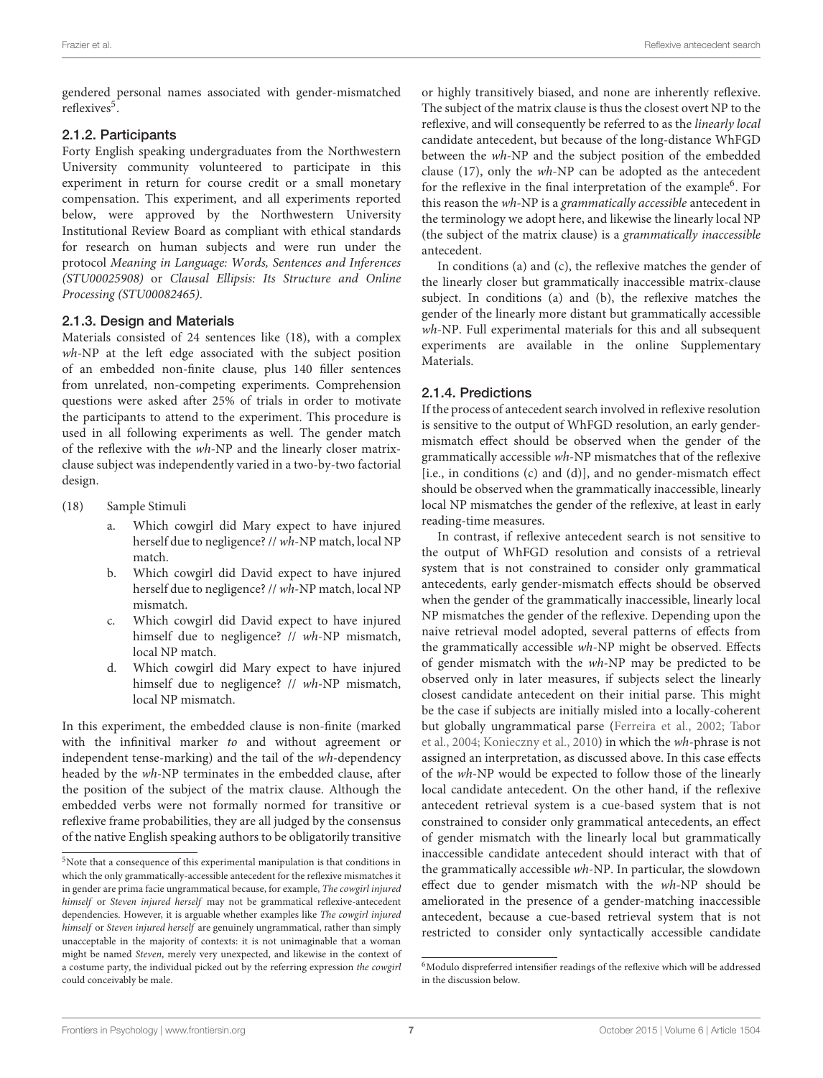gendered personal names associated with gender-mismatched reflexives<sup>[5](#page-6-0)</sup>.

### 2.1.2. Participants

Forty English speaking undergraduates from the Northwestern University community volunteered to participate in this experiment in return for course credit or a small monetary compensation. This experiment, and all experiments reported below, were approved by the Northwestern University Institutional Review Board as compliant with ethical standards for research on human subjects and were run under the protocol Meaning in Language: Words, Sentences and Inferences (STU00025908) or Clausal Ellipsis: Its Structure and Online Processing (STU00082465).

### 2.1.3. Design and Materials

Materials consisted of 24 sentences like [\(18\),](#page-6-1) with a complex wh-NP at the left edge associated with the subject position of an embedded non-finite clause, plus 140 filler sentences from unrelated, non-competing experiments. Comprehension questions were asked after 25% of trials in order to motivate the participants to attend to the experiment. This procedure is used in all following experiments as well. The gender match of the reflexive with the wh-NP and the linearly closer matrixclause subject was independently varied in a two-by-two factorial design.

- <span id="page-6-1"></span>(18) Sample Stimuli
	- a. Which cowgirl did Mary expect to have injured herself due to negligence? // wh-NP match, local NP match.
	- b. Which cowgirl did David expect to have injured herself due to negligence? // wh-NP match, local NP mismatch.
	- c. Which cowgirl did David expect to have injured himself due to negligence? // wh-NP mismatch, local NP match.
	- d. Which cowgirl did Mary expect to have injured himself due to negligence? // wh-NP mismatch, local NP mismatch.

In this experiment, the embedded clause is non-finite (marked with the infinitival marker to and without agreement or independent tense-marking) and the tail of the wh-dependency headed by the wh-NP terminates in the embedded clause, after the position of the subject of the matrix clause. Although the embedded verbs were not formally normed for transitive or reflexive frame probabilities, they are all judged by the consensus of the native English speaking authors to be obligatorily transitive or highly transitively biased, and none are inherently reflexive. The subject of the matrix clause is thus the closest overt NP to the reflexive, and will consequently be referred to as the linearly local candidate antecedent, but because of the long-distance WhFGD between the wh-NP and the subject position of the embedded clause [\(17\),](#page-5-6) only the wh-NP can be adopted as the antecedent for the reflexive in the final interpretation of the example<sup>[6](#page-6-2)</sup>. For this reason the wh-NP is a grammatically accessible antecedent in the terminology we adopt here, and likewise the linearly local NP (the subject of the matrix clause) is a grammatically inaccessible antecedent.

In conditions (a) and (c), the reflexive matches the gender of the linearly closer but grammatically inaccessible matrix-clause subject. In conditions (a) and (b), the reflexive matches the gender of the linearly more distant but grammatically accessible wh-NP. Full experimental materials for this and all subsequent experiments are available in the online Supplementary Materials.

### 2.1.4. Predictions

If the process of antecedent search involved in reflexive resolution is sensitive to the output of WhFGD resolution, an early gendermismatch effect should be observed when the gender of the grammatically accessible wh-NP mismatches that of the reflexive [i.e., in conditions (c) and (d)], and no gender-mismatch effect should be observed when the grammatically inaccessible, linearly local NP mismatches the gender of the reflexive, at least in early reading-time measures.

In contrast, if reflexive antecedent search is not sensitive to the output of WhFGD resolution and consists of a retrieval system that is not constrained to consider only grammatical antecedents, early gender-mismatch effects should be observed when the gender of the grammatically inaccessible, linearly local NP mismatches the gender of the reflexive. Depending upon the naive retrieval model adopted, several patterns of effects from the grammatically accessible wh-NP might be observed. Effects of gender mismatch with the wh-NP may be predicted to be observed only in later measures, if subjects select the linearly closest candidate antecedent on their initial parse. This might be the case if subjects are initially misled into a locally-coherent but globally ungrammatical parse [\(Ferreira et al., 2002;](#page-18-21) Tabor et al., [2004;](#page-18-22) [Konieczny et al., 2010\)](#page-18-23) in which the wh-phrase is not assigned an interpretation, as discussed above. In this case effects of the wh-NP would be expected to follow those of the linearly local candidate antecedent. On the other hand, if the reflexive antecedent retrieval system is a cue-based system that is not constrained to consider only grammatical antecedents, an effect of gender mismatch with the linearly local but grammatically inaccessible candidate antecedent should interact with that of the grammatically accessible wh-NP. In particular, the slowdown effect due to gender mismatch with the wh-NP should be ameliorated in the presence of a gender-matching inaccessible antecedent, because a cue-based retrieval system that is not restricted to consider only syntactically accessible candidate

<span id="page-6-0"></span><sup>5</sup>Note that a consequence of this experimental manipulation is that conditions in which the only grammatically-accessible antecedent for the reflexive mismatches it in gender are prima facie ungrammatical because, for example, The cowgirl injured himself or Steven injured herself may not be grammatical reflexive-antecedent dependencies. However, it is arguable whether examples like The cowgirl injured himself or Steven injured herself are genuinely ungrammatical, rather than simply unacceptable in the majority of contexts: it is not unimaginable that a woman might be named Steven, merely very unexpected, and likewise in the context of a costume party, the individual picked out by the referring expression the cowgirl could conceivably be male.

<span id="page-6-2"></span><sup>&</sup>lt;sup>6</sup>Modulo dispreferred intensifier readings of the reflexive which will be addressed in the discussion below.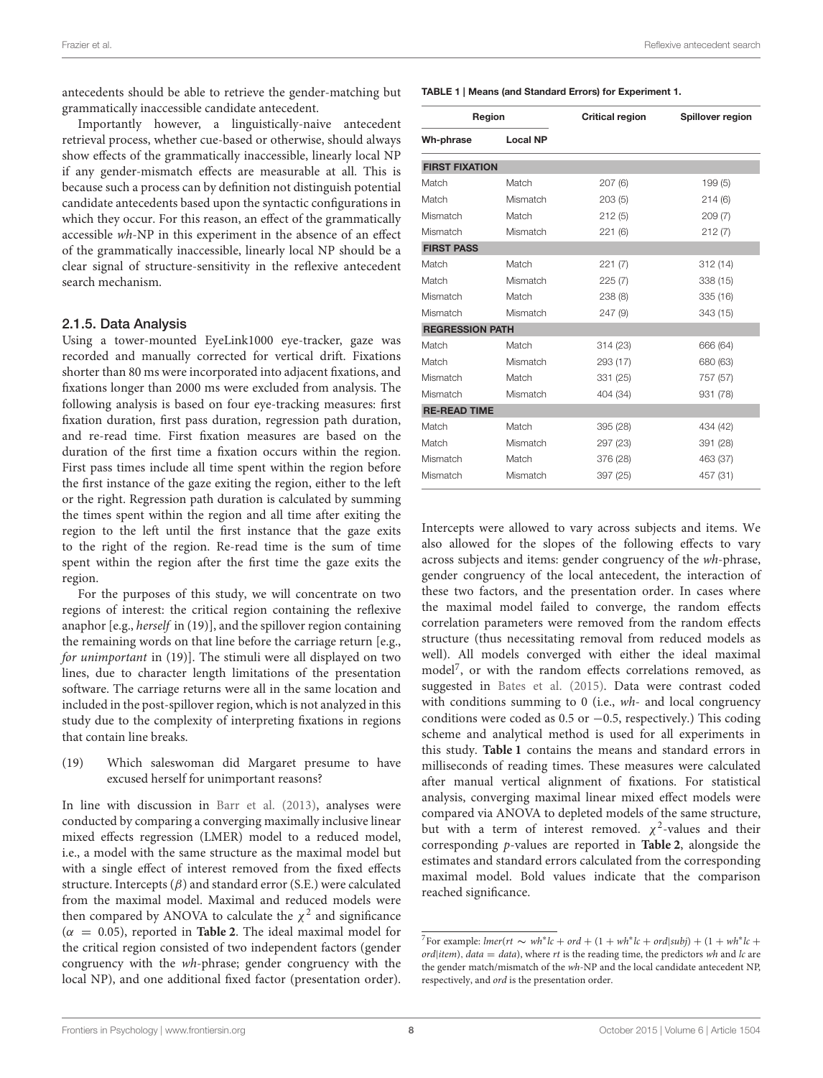Frazier et al. Reflexive antecedent search

antecedents should be able to retrieve the gender-matching but grammatically inaccessible candidate antecedent.

Importantly however, a linguistically-naive antecedent retrieval process, whether cue-based or otherwise, should always show effects of the grammatically inaccessible, linearly local NP if any gender-mismatch effects are measurable at all. This is because such a process can by definition not distinguish potential candidate antecedents based upon the syntactic configurations in which they occur. For this reason, an effect of the grammatically accessible wh-NP in this experiment in the absence of an effect of the grammatically inaccessible, linearly local NP should be a clear signal of structure-sensitivity in the reflexive antecedent search mechanism.

#### 2.1.5. Data Analysis

Using a tower-mounted EyeLink1000 eye-tracker, gaze was recorded and manually corrected for vertical drift. Fixations shorter than 80 ms were incorporated into adjacent fixations, and fixations longer than 2000 ms were excluded from analysis. The following analysis is based on four eye-tracking measures: first fixation duration, first pass duration, regression path duration, and re-read time. First fixation measures are based on the duration of the first time a fixation occurs within the region. First pass times include all time spent within the region before the first instance of the gaze exiting the region, either to the left or the right. Regression path duration is calculated by summing the times spent within the region and all time after exiting the region to the left until the first instance that the gaze exits to the right of the region. Re-read time is the sum of time spent within the region after the first time the gaze exits the region.

For the purposes of this study, we will concentrate on two regions of interest: the critical region containing the reflexive anaphor [e.g., herself in [\(19\)\]](#page-7-0), and the spillover region containing the remaining words on that line before the carriage return [e.g., for unimportant in [\(19\)\]](#page-7-0). The stimuli were all displayed on two lines, due to character length limitations of the presentation software. The carriage returns were all in the same location and included in the post-spillover region, which is not analyzed in this study due to the complexity of interpreting fixations in regions that contain line breaks.

<span id="page-7-0"></span>(19) Which saleswoman did Margaret presume to have excused herself for unimportant reasons?

In line with discussion in [Barr et al. \(2013\)](#page-18-26), analyses were conducted by comparing a converging maximally inclusive linear mixed effects regression (LMER) model to a reduced model, i.e., a model with the same structure as the maximal model but with a single effect of interest removed from the fixed effects structure. Intercepts  $(\beta)$  and standard error (S.E.) were calculated from the maximal model. Maximal and reduced models were then compared by ANOVA to calculate the  $\chi^2$  and significance  $(\alpha = 0.05)$ , reported in **[Table 2](#page-8-0)**. The ideal maximal model for the critical region consisted of two independent factors (gender congruency with the wh-phrase; gender congruency with the local NP), and one additional fixed factor (presentation order). <span id="page-7-2"></span>TABLE 1 | Means (and Standard Errors) for Experiment 1.

| Region                 |                 | <b>Critical region</b> | Spillover region |  |
|------------------------|-----------------|------------------------|------------------|--|
| Wh-phrase              | <b>Local NP</b> |                        |                  |  |
| <b>FIRST FIXATION</b>  |                 |                        |                  |  |
| Match                  | Match           | 207(6)                 | 199(5)           |  |
| Match                  | Mismatch        | 203(5)                 | 214(6)           |  |
| Mismatch               | Match           | 212(5)                 | 209(7)           |  |
| Mismatch               | Mismatch        | 221(6)                 | 212(7)           |  |
| <b>FIRST PASS</b>      |                 |                        |                  |  |
| Match                  | Match           | 221(7)                 | 312(14)          |  |
| Match                  | Mismatch        | 225(7)                 | 338 (15)         |  |
| Mismatch               | Match           | 238(8)                 | 335 (16)         |  |
| Mismatch               | Mismatch        | 247 (9)                | 343 (15)         |  |
| <b>REGRESSION PATH</b> |                 |                        |                  |  |
| Match                  | Match           | 314 (23)               | 666 (64)         |  |
| Match                  | Mismatch        | 293 (17)               | 680 (63)         |  |
| Mismatch               | Match           | 331 (25)               | 757 (57)         |  |
| Mismatch               | Mismatch        | 404 (34)               | 931 (78)         |  |
| <b>RE-READ TIME</b>    |                 |                        |                  |  |
| Match                  | Match           | 395 (28)               | 434 (42)         |  |
| Match                  | Mismatch        | 297 (23)               | 391 (28)         |  |
| Mismatch               | Match           | 376 (28)               | 463 (37)         |  |
| Mismatch               | Mismatch        | 397 (25)               | 457 (31)         |  |

Intercepts were allowed to vary across subjects and items. We also allowed for the slopes of the following effects to vary across subjects and items: gender congruency of the wh-phrase, gender congruency of the local antecedent, the interaction of these two factors, and the presentation order. In cases where the maximal model failed to converge, the random effects correlation parameters were removed from the random effects structure (thus necessitating removal from reduced models as well). All models converged with either the ideal maximal model[7](#page-7-1) , or with the random effects correlations removed, as suggested in [Bates et al. \(2015\)](#page-18-27). Data were contrast coded with conditions summing to 0 (i.e., wh- and local congruency conditions were coded as 0.5 or −0.5, respectively.) This coding scheme and analytical method is used for all experiments in this study. **[Table 1](#page-7-2)** contains the means and standard errors in milliseconds of reading times. These measures were calculated after manual vertical alignment of fixations. For statistical analysis, converging maximal linear mixed effect models were compared via ANOVA to depleted models of the same structure, but with a term of interest removed.  $\chi^2$ -values and their corresponding p-values are reported in **[Table 2](#page-8-0)**, alongside the estimates and standard errors calculated from the corresponding maximal model. Bold values indicate that the comparison reached significance.

<span id="page-7-1"></span><sup>&</sup>lt;sup>7</sup>For example: *lmer*(*rt*  $\sim wh^*lc + ord + (1 + wh^*lc + ord|subj) + (1 + wh^*lc +$ ord|item), data = data), where rt is the reading time, the predictors wh and  $lc$  are the gender match/mismatch of the wh-NP and the local candidate antecedent NP, respectively, and ord is the presentation order.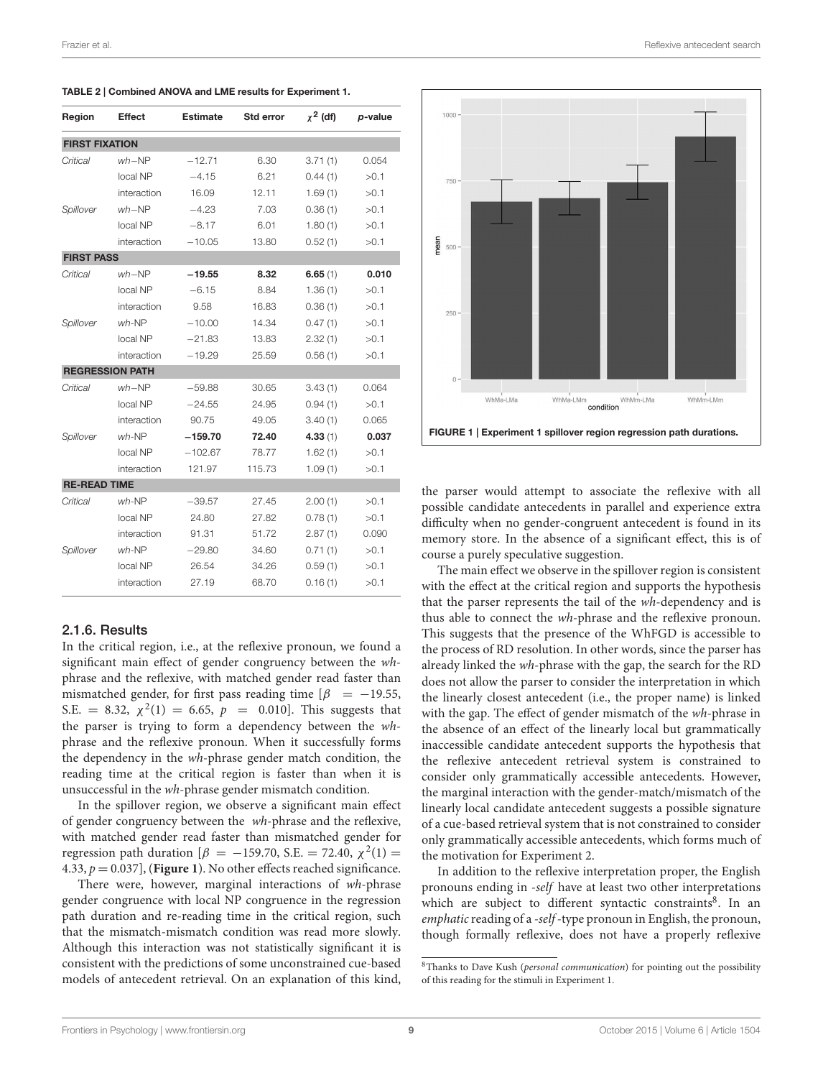| Region                | Effect                 | <b>Estimate</b> | Std error | $x^2$ (df) | p-value |
|-----------------------|------------------------|-----------------|-----------|------------|---------|
| <b>FIRST FIXATION</b> |                        |                 |           |            |         |
| Critical              | $wh-NP$                | $-12.71$        | 6.30      | 3.71(1)    | 0.054   |
|                       | local NP               | $-4.15$         | 6.21      | 0.44(1)    | >0.1    |
|                       | interaction            | 16.09           | 12.11     | 1.69(1)    | >0.1    |
| Spillover             | $wh-NP$                | $-4.23$         | 7.03      | 0.36(1)    | >0.1    |
|                       | local NP               | $-8.17$         | 6.01      | 1.80(1)    | >0.1    |
|                       | interaction            | $-10.05$        | 13.80     | 0.52(1)    | >0.1    |
| <b>FIRST PASS</b>     |                        |                 |           |            |         |
| Critical              | $wh-NP$                | $-19.55$        | 8.32      | 6.65(1)    | 0.010   |
|                       | local NP               | $-6.15$         | 8.84      | 1.36(1)    | >0.1    |
|                       | interaction            | 9.58            | 16.83     | 0.36(1)    | >0.1    |
| Spillover             | $wh-NP$                | $-10.00$        | 14.34     | 0.47(1)    | >0.1    |
|                       | local NP               | $-21.83$        | 13.83     | 2.32(1)    | >0.1    |
|                       | interaction            | $-19.29$        | 25.59     | 0.56(1)    | >0.1    |
|                       | <b>REGRESSION PATH</b> |                 |           |            |         |
| Critical              | $wh-NP$                | $-59.88$        | 30.65     | 3.43(1)    | 0.064   |
|                       | local NP               | $-24.55$        | 24.95     | 0.94(1)    | >0.1    |
|                       | interaction            | 90.75           | 49.05     | 3.40(1)    | 0.065   |
| Spillover             | $wh-NP$                | $-159.70$       | 72.40     | 4.33(1)    | 0.037   |
|                       | local NP               | $-102.67$       | 78.77     | 1.62(1)    | >0.1    |
|                       | interaction            | 121.97          | 115.73    | 1.09(1)    | >0.1    |
| <b>RE-READ TIME</b>   |                        |                 |           |            |         |
| Critical              | $wh-NP$                | $-39.57$        | 27.45     | 2.00(1)    | >0.1    |
|                       | local NP               | 24.80           | 27.82     | 0.78(1)    | >0.1    |
|                       | interaction            | 91.31           | 51.72     | 2.87(1)    | 0.090   |
| Spillover             | $wh-NP$                | $-29.80$        | 34.60     | 0.71(1)    | >0.1    |
|                       | local NP               | 26.54           | 34.26     | 0.59(1)    | >0.1    |
|                       | interaction            | 27.19           | 68.70     | 0.16(1)    | >0.1    |

<span id="page-8-0"></span>TABLE 2 | Combined ANOVA and LME results for Experiment 1.

### 2.1.6. Results

In the critical region, i.e., at the reflexive pronoun, we found a significant main effect of gender congruency between the whphrase and the reflexive, with matched gender read faster than mismatched gender, for first pass reading time  $\left[\beta\right] = -19.55$ , S.E. = 8.32,  $\chi^2(1) = 6.65$ ,  $p = 0.010$ . This suggests that the parser is trying to form a dependency between the whphrase and the reflexive pronoun. When it successfully forms the dependency in the wh-phrase gender match condition, the reading time at the critical region is faster than when it is unsuccessful in the wh-phrase gender mismatch condition.

In the spillover region, we observe a significant main effect of gender congruency between the wh-phrase and the reflexive, with matched gender read faster than mismatched gender for regression path duration [β = −159.70, S.E. = 72.40,  $\chi^2(1)$  = 4.33,  $p = 0.037$ ], (**[Figure 1](#page-8-1)**). No other effects reached significance.

There were, however, marginal interactions of wh-phrase gender congruence with local NP congruence in the regression path duration and re-reading time in the critical region, such that the mismatch-mismatch condition was read more slowly. Although this interaction was not statistically significant it is consistent with the predictions of some unconstrained cue-based models of antecedent retrieval. On an explanation of this kind,



<span id="page-8-1"></span>the parser would attempt to associate the reflexive with all possible candidate antecedents in parallel and experience extra difficulty when no gender-congruent antecedent is found in its memory store. In the absence of a significant effect, this is of course a purely speculative suggestion.

The main effect we observe in the spillover region is consistent with the effect at the critical region and supports the hypothesis that the parser represents the tail of the wh-dependency and is thus able to connect the wh-phrase and the reflexive pronoun. This suggests that the presence of the WhFGD is accessible to the process of RD resolution. In other words, since the parser has already linked the wh-phrase with the gap, the search for the RD does not allow the parser to consider the interpretation in which the linearly closest antecedent (i.e., the proper name) is linked with the gap. The effect of gender mismatch of the wh-phrase in the absence of an effect of the linearly local but grammatically inaccessible candidate antecedent supports the hypothesis that the reflexive antecedent retrieval system is constrained to consider only grammatically accessible antecedents. However, the marginal interaction with the gender-match/mismatch of the linearly local candidate antecedent suggests a possible signature of a cue-based retrieval system that is not constrained to consider only grammatically accessible antecedents, which forms much of the motivation for Experiment 2.

In addition to the reflexive interpretation proper, the English pronouns ending in -self have at least two other interpretations which are subject to different syntactic constraints<sup>[8](#page-8-2)</sup>. In an emphatic reading of a -self-type pronoun in English, the pronoun, though formally reflexive, does not have a properly reflexive

<span id="page-8-2"></span> $8$ Thanks to Dave Kush (*personal communication*) for pointing out the possibility of this reading for the stimuli in Experiment 1.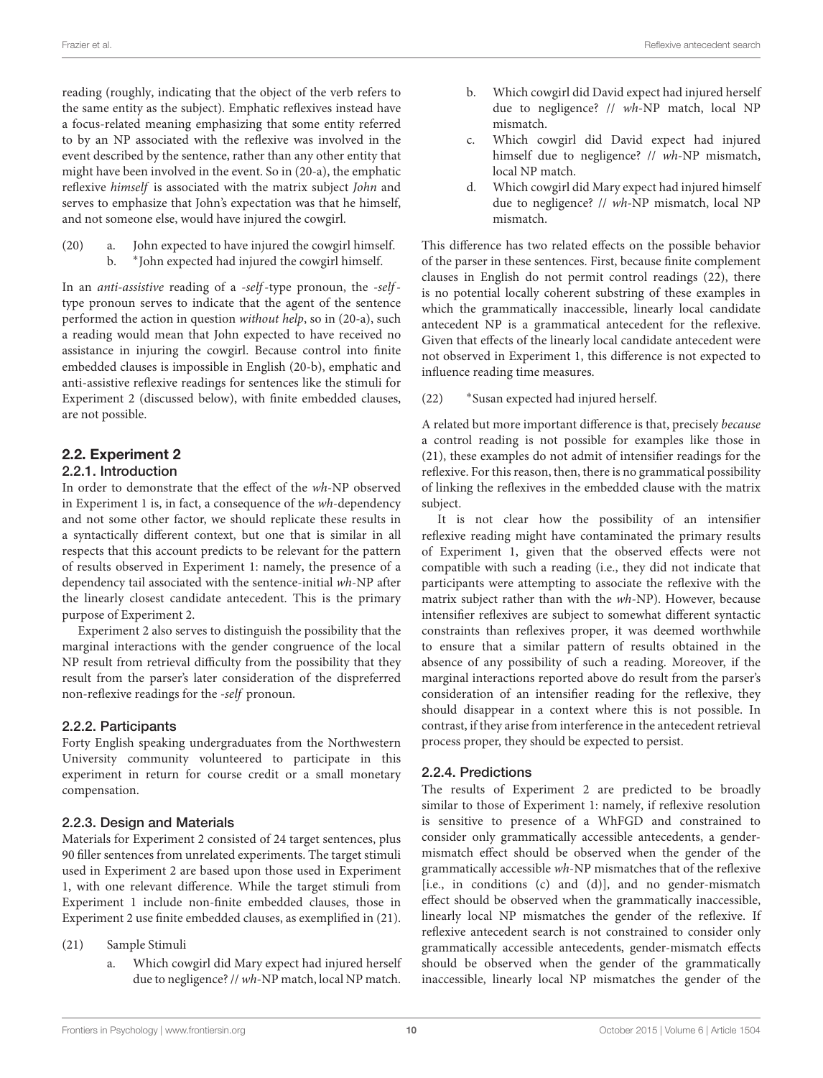reading (roughly, indicating that the object of the verb refers to the same entity as the subject). Emphatic reflexives instead have a focus-related meaning emphasizing that some entity referred to by an NP associated with the reflexive was involved in the event described by the sentence, rather than any other entity that might have been involved in the event. So in [\(20-a\),](#page-9-0) the emphatic reflexive himself is associated with the matrix subject John and serves to emphasize that John's expectation was that he himself, and not someone else, would have injured the cowgirl.

<span id="page-9-1"></span><span id="page-9-0"></span>(20) a. John expected to have injured the cowgirl himself.  $h$ John expected had injured the cowgirl himself.

In an anti-assistive reading of a -self-type pronoun, the -selftype pronoun serves to indicate that the agent of the sentence performed the action in question without help, so in [\(20-a\),](#page-9-0) such a reading would mean that John expected to have received no assistance in injuring the cowgirl. Because control into finite embedded clauses is impossible in English [\(20-b\),](#page-9-1) emphatic and anti-assistive reflexive readings for sentences like the stimuli for Experiment 2 (discussed below), with finite embedded clauses, are not possible.

# 2.2. Experiment 2

### 2.2.1. Introduction

In order to demonstrate that the effect of the wh-NP observed in Experiment 1 is, in fact, a consequence of the wh-dependency and not some other factor, we should replicate these results in a syntactically different context, but one that is similar in all respects that this account predicts to be relevant for the pattern of results observed in Experiment 1: namely, the presence of a dependency tail associated with the sentence-initial wh-NP after the linearly closest candidate antecedent. This is the primary purpose of Experiment 2.

Experiment 2 also serves to distinguish the possibility that the marginal interactions with the gender congruence of the local NP result from retrieval difficulty from the possibility that they result from the parser's later consideration of the dispreferred non-reflexive readings for the -self pronoun.

### 2.2.2. Participants

Forty English speaking undergraduates from the Northwestern University community volunteered to participate in this experiment in return for course credit or a small monetary compensation.

### 2.2.3. Design and Materials

Materials for Experiment 2 consisted of 24 target sentences, plus 90 filler sentences from unrelated experiments. The target stimuli used in Experiment 2 are based upon those used in Experiment 1, with one relevant difference. While the target stimuli from Experiment 1 include non-finite embedded clauses, those in Experiment 2 use finite embedded clauses, as exemplified in [\(21\).](#page-9-2)

- (21) Sample Stimuli
	- a. Which cowgirl did Mary expect had injured herself due to negligence? // wh-NP match, local NP match.
- b. Which cowgirl did David expect had injured herself due to negligence? // wh-NP match, local NP mismatch.
- c. Which cowgirl did David expect had injured himself due to negligence? // wh-NP mismatch, local NP match.
- d. Which cowgirl did Mary expect had injured himself due to negligence? // wh-NP mismatch, local NP mismatch.

This difference has two related effects on the possible behavior of the parser in these sentences. First, because finite complement clauses in English do not permit control readings [\(22\),](#page-9-3) there is no potential locally coherent substring of these examples in which the grammatically inaccessible, linearly local candidate antecedent NP is a grammatical antecedent for the reflexive. Given that effects of the linearly local candidate antecedent were not observed in Experiment 1, this difference is not expected to influence reading time measures.

<span id="page-9-3"></span> $(22)$ Susan expected had injured herself.

A related but more important difference is that, precisely because a control reading is not possible for examples like those in [\(21\),](#page-9-2) these examples do not admit of intensifier readings for the reflexive. For this reason, then, there is no grammatical possibility of linking the reflexives in the embedded clause with the matrix subject.

It is not clear how the possibility of an intensifier reflexive reading might have contaminated the primary results of Experiment 1, given that the observed effects were not compatible with such a reading (i.e., they did not indicate that participants were attempting to associate the reflexive with the matrix subject rather than with the wh-NP). However, because intensifier reflexives are subject to somewhat different syntactic constraints than reflexives proper, it was deemed worthwhile to ensure that a similar pattern of results obtained in the absence of any possibility of such a reading. Moreover, if the marginal interactions reported above do result from the parser's consideration of an intensifier reading for the reflexive, they should disappear in a context where this is not possible. In contrast, if they arise from interference in the antecedent retrieval process proper, they should be expected to persist.

### 2.2.4. Predictions

<span id="page-9-2"></span>The results of Experiment 2 are predicted to be broadly similar to those of Experiment 1: namely, if reflexive resolution is sensitive to presence of a WhFGD and constrained to consider only grammatically accessible antecedents, a gendermismatch effect should be observed when the gender of the grammatically accessible wh-NP mismatches that of the reflexive [i.e., in conditions (c) and (d)], and no gender-mismatch effect should be observed when the grammatically inaccessible, linearly local NP mismatches the gender of the reflexive. If reflexive antecedent search is not constrained to consider only grammatically accessible antecedents, gender-mismatch effects should be observed when the gender of the grammatically inaccessible, linearly local NP mismatches the gender of the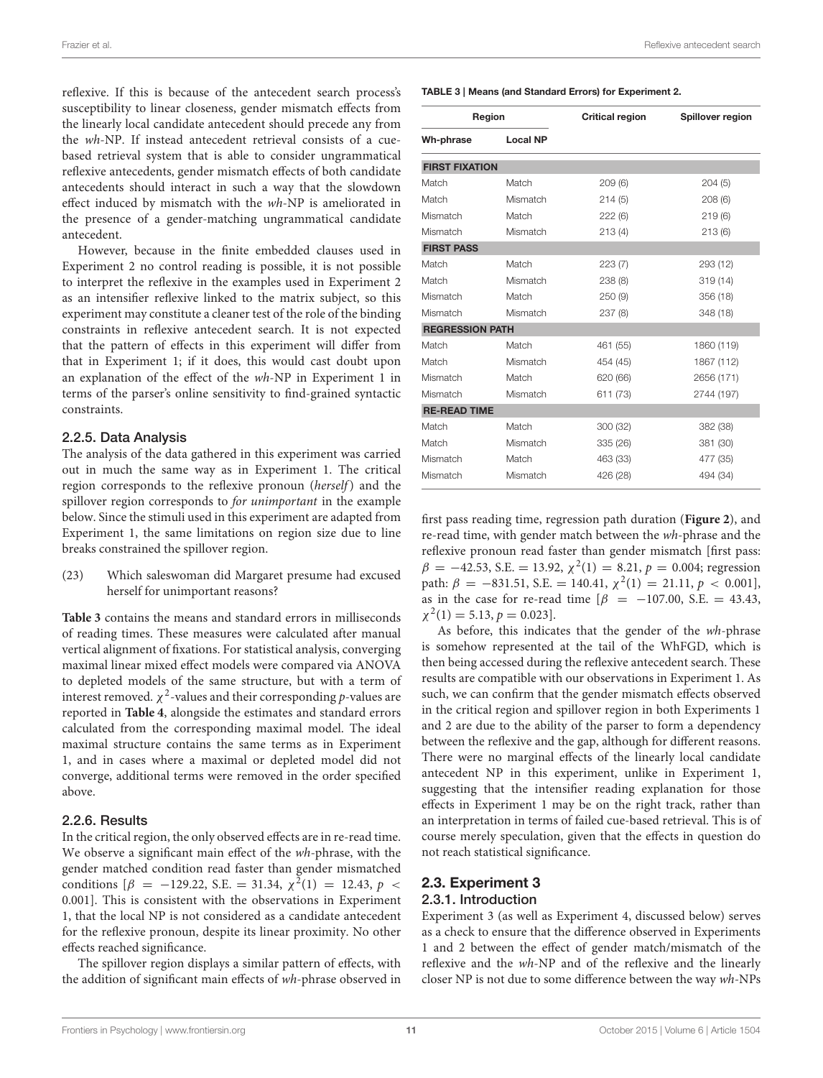reflexive. If this is because of the antecedent search process's susceptibility to linear closeness, gender mismatch effects from the linearly local candidate antecedent should precede any from the wh-NP. If instead antecedent retrieval consists of a cuebased retrieval system that is able to consider ungrammatical reflexive antecedents, gender mismatch effects of both candidate antecedents should interact in such a way that the slowdown effect induced by mismatch with the wh-NP is ameliorated in the presence of a gender-matching ungrammatical candidate antecedent.

However, because in the finite embedded clauses used in Experiment 2 no control reading is possible, it is not possible to interpret the reflexive in the examples used in Experiment 2 as an intensifier reflexive linked to the matrix subject, so this experiment may constitute a cleaner test of the role of the binding constraints in reflexive antecedent search. It is not expected that the pattern of effects in this experiment will differ from that in Experiment 1; if it does, this would cast doubt upon an explanation of the effect of the wh-NP in Experiment 1 in terms of the parser's online sensitivity to find-grained syntactic constraints.

#### 2.2.5. Data Analysis

The analysis of the data gathered in this experiment was carried out in much the same way as in Experiment 1. The critical region corresponds to the reflexive pronoun (herself) and the spillover region corresponds to for unimportant in the example below. Since the stimuli used in this experiment are adapted from Experiment 1, the same limitations on region size due to line breaks constrained the spillover region.

(23) Which saleswoman did Margaret presume had excused herself for unimportant reasons?

**[Table 3](#page-10-0)** contains the means and standard errors in milliseconds of reading times. These measures were calculated after manual vertical alignment of fixations. For statistical analysis, converging maximal linear mixed effect models were compared via ANOVA to depleted models of the same structure, but with a term of interest removed.  $\chi^2$ -values and their corresponding  $p$ -values are reported in **[Table 4](#page-11-0)**, alongside the estimates and standard errors calculated from the corresponding maximal model. The ideal maximal structure contains the same terms as in Experiment 1, and in cases where a maximal or depleted model did not converge, additional terms were removed in the order specified above.

### 2.2.6. Results

In the critical region, the only observed effects are in re-read time. We observe a significant main effect of the wh-phrase, with the gender matched condition read faster than gender mismatched conditions  $\left[\beta = -129.22, S.E. = 31.34, \chi^2(1) = 12.43, p <$ 0.001]. This is consistent with the observations in Experiment 1, that the local NP is not considered as a candidate antecedent for the reflexive pronoun, despite its linear proximity. No other effects reached significance.

The spillover region displays a similar pattern of effects, with the addition of significant main effects of wh-phrase observed in

#### <span id="page-10-0"></span>TABLE 3 | Means (and Standard Errors) for Experiment 2.

| Region                 |                 | <b>Critical region</b> | Spillover region |  |
|------------------------|-----------------|------------------------|------------------|--|
| Wh-phrase              | <b>Local NP</b> |                        |                  |  |
| <b>FIRST FIXATION</b>  |                 |                        |                  |  |
| Match                  | Match           | 209(6)                 | 204(5)           |  |
| Match                  | Mismatch        | 214(5)                 | 208(6)           |  |
| Mismatch               | Match           | 222(6)                 | 219(6)           |  |
| Mismatch               | Mismatch        | 213(4)                 | 213(6)           |  |
| <b>FIRST PASS</b>      |                 |                        |                  |  |
| Match                  | Match           | 223(7)                 | 293 (12)         |  |
| Match                  | Mismatch        | 238 (8)                | 319 (14)         |  |
| Mismatch               | Match           | 250 (9)                | 356 (18)         |  |
| Mismatch               | Mismatch        | 237(8)                 | 348 (18)         |  |
| <b>REGRESSION PATH</b> |                 |                        |                  |  |
| Match                  | Match           | 461 (55)               | 1860 (119)       |  |
| Match                  | Mismatch        | 454 (45)               | 1867 (112)       |  |
| Mismatch               | Match           | 620 (66)               | 2656 (171)       |  |
| Mismatch               | Mismatch        | 611 (73)               | 2744 (197)       |  |
| <b>RE-READ TIME</b>    |                 |                        |                  |  |
| Match                  | Match           | 300 (32)               | 382 (38)         |  |
| Match                  | Mismatch        | 335 (26)               | 381 (30)         |  |
| Mismatch               | Match           | 463 (33)               | 477 (35)         |  |
| Mismatch               | Mismatch        | 426 (28)               | 494 (34)         |  |

first pass reading time, regression path duration (**[Figure 2](#page-11-1)**), and re-read time, with gender match between the wh-phrase and the reflexive pronoun read faster than gender mismatch [first pass:  $\beta = -42.53$ , S.E. = 13.92,  $\chi^2(1) = 8.21$ ,  $p = 0.004$ ; regression path:  $\beta = -831.51$ , S.E. = 140.41,  $\chi^2(1) = 21.11$ ,  $p < 0.001$ ], as in the case for re-read time  $\left[\beta = -107.00, S.E. = 43.43, \right]$  $\chi^2(1) = 5.13, p = 0.023$ .

As before, this indicates that the gender of the wh-phrase is somehow represented at the tail of the WhFGD, which is then being accessed during the reflexive antecedent search. These results are compatible with our observations in Experiment 1. As such, we can confirm that the gender mismatch effects observed in the critical region and spillover region in both Experiments 1 and 2 are due to the ability of the parser to form a dependency between the reflexive and the gap, although for different reasons. There were no marginal effects of the linearly local candidate antecedent NP in this experiment, unlike in Experiment 1, suggesting that the intensifier reading explanation for those effects in Experiment 1 may be on the right track, rather than an interpretation in terms of failed cue-based retrieval. This is of course merely speculation, given that the effects in question do not reach statistical significance.

### 2.3. Experiment 3

#### 2.3.1. Introduction

Experiment 3 (as well as Experiment 4, discussed below) serves as a check to ensure that the difference observed in Experiments 1 and 2 between the effect of gender match/mismatch of the reflexive and the wh-NP and of the reflexive and the linearly closer NP is not due to some difference between the way wh-NPs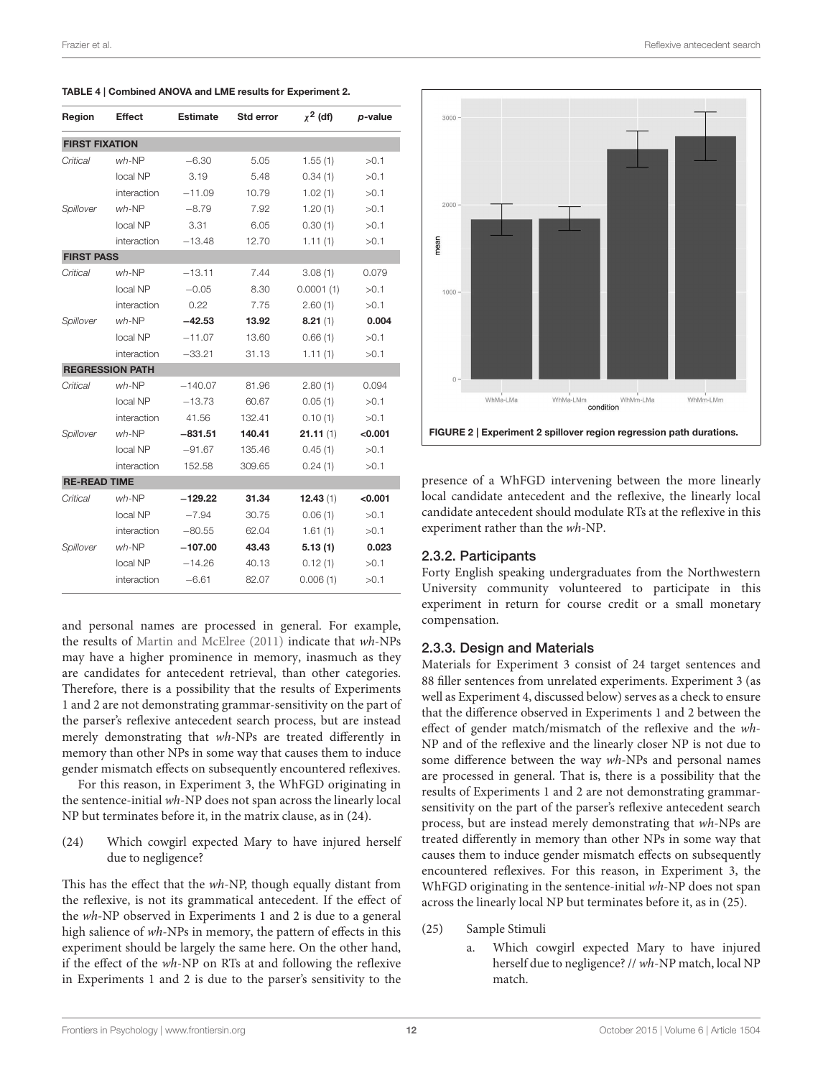| Region                | Effect                 | <b>Estimate</b> | <b>Std error</b> | $x^2$ (df) | p-value |
|-----------------------|------------------------|-----------------|------------------|------------|---------|
| <b>FIRST FIXATION</b> |                        |                 |                  |            |         |
| Critical              | $wh-NP$                | $-6.30$         | 5.05             | 1.55(1)    | >0.1    |
|                       | local NP               | 3.19            | 5.48             | 0.34(1)    | >0.1    |
|                       | interaction            | $-11.09$        | 10.79            | 1.02(1)    | >0.1    |
| Spillover             | $wh$ -NP               | $-8.79$         | 7.92             | 1.20(1)    | >0.1    |
|                       | local NP               | 3.31            | 6.05             | 0.30(1)    | >0.1    |
|                       | interaction            | $-13.48$        | 12.70            | 1.11(1)    | >0.1    |
| <b>FIRST PASS</b>     |                        |                 |                  |            |         |
| Critical              | $wh$ -NP               | $-13.11$        | 7.44             | 3.08(1)    | 0.079   |
|                       | local NP               | $-0.05$         | 8.30             | 0.0001(1)  | >0.1    |
|                       | interaction            | 0.22            | 7.75             | 2.60(1)    | >0.1    |
| Spillover             | $wh-NP$                | $-42.53$        | 13.92            | 8.21(1)    | 0.004   |
|                       | local NP               | $-11.07$        | 13.60            | 0.66(1)    | >0.1    |
|                       | interaction            | $-33.21$        | 31.13            | 1.11(1)    | >0.1    |
|                       | <b>REGRESSION PATH</b> |                 |                  |            |         |
| Critical              | $wh$ -NP               | $-140.07$       | 81.96            | 2.80(1)    | 0.094   |
|                       | local NP               | $-13.73$        | 60.67            | 0.05(1)    | >0.1    |
|                       | interaction            | 41.56           | 132.41           | 0.10(1)    | >0.1    |
| Spillover             | $wh$ -NP               | $-831.51$       | 140.41           | 21.11(1)   | < 0.001 |
|                       | local NP               | $-91.67$        | 135.46           | 0.45(1)    | >0.1    |
|                       | interaction            | 152.58          | 309.65           | 0.24(1)    | >0.1    |
| <b>RE-READ TIME</b>   |                        |                 |                  |            |         |
| Critical              | $wh-NP$                | $-129.22$       | 31.34            | 12.43(1)   | < 0.001 |
|                       | local NP               | $-7.94$         | 30.75            | 0.06(1)    | >0.1    |
|                       | interaction            | $-80.55$        | 62.04            | 1.61(1)    | >0.1    |
| Spillover             | $wh$ -NP               | $-107.00$       | 43.43            | 5.13(1)    | 0.023   |
|                       | local NP               | $-14.26$        | 40.13            | 0.12(1)    | >0.1    |
|                       | interaction            | $-6.61$         | 82.07            | 0.006(1)   | >0.1    |

<span id="page-11-0"></span>TABLE 4 | Combined ANOVA and LME results for Experiment 2.

and personal names are processed in general. For example, the results of [Martin and McElree \(2011\)](#page-18-28) indicate that wh-NPs may have a higher prominence in memory, inasmuch as they are candidates for antecedent retrieval, than other categories. Therefore, there is a possibility that the results of Experiments 1 and 2 are not demonstrating grammar-sensitivity on the part of the parser's reflexive antecedent search process, but are instead merely demonstrating that wh-NPs are treated differently in memory than other NPs in some way that causes them to induce gender mismatch effects on subsequently encountered reflexives.

For this reason, in Experiment 3, the WhFGD originating in the sentence-initial wh-NP does not span across the linearly local NP but terminates before it, in the matrix clause, as in [\(24\).](#page-11-2)

<span id="page-11-2"></span>(24) Which cowgirl expected Mary to have injured herself due to negligence?

This has the effect that the wh-NP, though equally distant from the reflexive, is not its grammatical antecedent. If the effect of the wh-NP observed in Experiments 1 and 2 is due to a general high salience of wh-NPs in memory, the pattern of effects in this experiment should be largely the same here. On the other hand, if the effect of the wh-NP on RTs at and following the reflexive in Experiments 1 and 2 is due to the parser's sensitivity to the



<span id="page-11-1"></span>presence of a WhFGD intervening between the more linearly local candidate antecedent and the reflexive, the linearly local candidate antecedent should modulate RTs at the reflexive in this experiment rather than the wh-NP.

#### 2.3.2. Participants

Forty English speaking undergraduates from the Northwestern University community volunteered to participate in this experiment in return for course credit or a small monetary compensation.

#### 2.3.3. Design and Materials

Materials for Experiment 3 consist of 24 target sentences and 88 filler sentences from unrelated experiments. Experiment 3 (as well as Experiment 4, discussed below) serves as a check to ensure that the difference observed in Experiments 1 and 2 between the effect of gender match/mismatch of the reflexive and the wh-NP and of the reflexive and the linearly closer NP is not due to some difference between the way wh-NPs and personal names are processed in general. That is, there is a possibility that the results of Experiments 1 and 2 are not demonstrating grammarsensitivity on the part of the parser's reflexive antecedent search process, but are instead merely demonstrating that wh-NPs are treated differently in memory than other NPs in some way that causes them to induce gender mismatch effects on subsequently encountered reflexives. For this reason, in Experiment 3, the WhFGD originating in the sentence-initial wh-NP does not span across the linearly local NP but terminates before it, as in [\(25\).](#page-11-3)

- <span id="page-11-3"></span>(25) Sample Stimuli
	- a. Which cowgirl expected Mary to have injured herself due to negligence? // wh-NP match, local NP match.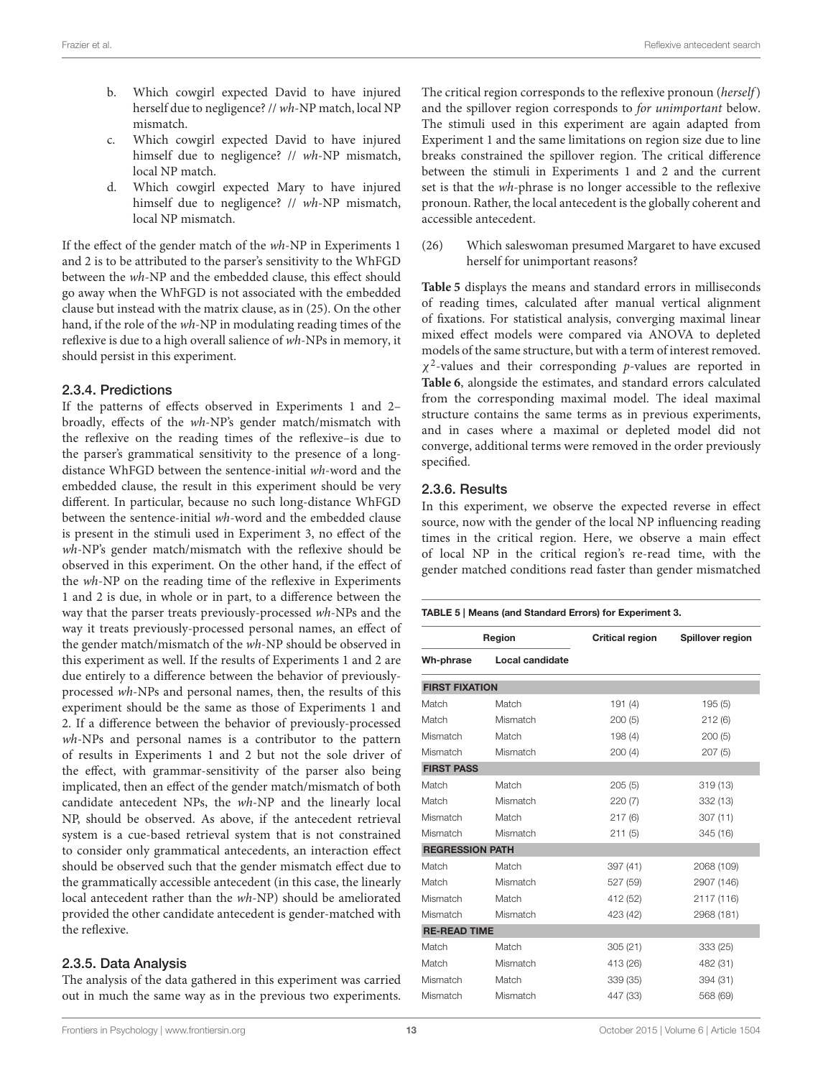- b. Which cowgirl expected David to have injured herself due to negligence? // wh-NP match, local NP mismatch.
- c. Which cowgirl expected David to have injured himself due to negligence? // wh-NP mismatch, local NP match.
- d. Which cowgirl expected Mary to have injured himself due to negligence? // wh-NP mismatch, local NP mismatch.

If the effect of the gender match of the wh-NP in Experiments 1 and 2 is to be attributed to the parser's sensitivity to the WhFGD between the wh-NP and the embedded clause, this effect should go away when the WhFGD is not associated with the embedded clause but instead with the matrix clause, as in [\(25\).](#page-11-3) On the other hand, if the role of the wh-NP in modulating reading times of the reflexive is due to a high overall salience of wh-NPs in memory, it should persist in this experiment.

### 2.3.4. Predictions

If the patterns of effects observed in Experiments 1 and 2– broadly, effects of the wh-NP's gender match/mismatch with the reflexive on the reading times of the reflexive–is due to the parser's grammatical sensitivity to the presence of a longdistance WhFGD between the sentence-initial wh-word and the embedded clause, the result in this experiment should be very different. In particular, because no such long-distance WhFGD between the sentence-initial wh-word and the embedded clause is present in the stimuli used in Experiment 3, no effect of the wh-NP's gender match/mismatch with the reflexive should be observed in this experiment. On the other hand, if the effect of the wh-NP on the reading time of the reflexive in Experiments 1 and 2 is due, in whole or in part, to a difference between the way that the parser treats previously-processed wh-NPs and the way it treats previously-processed personal names, an effect of the gender match/mismatch of the wh-NP should be observed in this experiment as well. If the results of Experiments 1 and 2 are due entirely to a difference between the behavior of previouslyprocessed wh-NPs and personal names, then, the results of this experiment should be the same as those of Experiments 1 and 2. If a difference between the behavior of previously-processed wh-NPs and personal names is a contributor to the pattern of results in Experiments 1 and 2 but not the sole driver of the effect, with grammar-sensitivity of the parser also being implicated, then an effect of the gender match/mismatch of both candidate antecedent NPs, the wh-NP and the linearly local NP, should be observed. As above, if the antecedent retrieval system is a cue-based retrieval system that is not constrained to consider only grammatical antecedents, an interaction effect should be observed such that the gender mismatch effect due to the grammatically accessible antecedent (in this case, the linearly local antecedent rather than the wh-NP) should be ameliorated provided the other candidate antecedent is gender-matched with the reflexive.

### 2.3.5. Data Analysis

The analysis of the data gathered in this experiment was carried out in much the same way as in the previous two experiments. The critical region corresponds to the reflexive pronoun (herself) and the spillover region corresponds to for unimportant below. The stimuli used in this experiment are again adapted from Experiment 1 and the same limitations on region size due to line breaks constrained the spillover region. The critical difference between the stimuli in Experiments 1 and 2 and the current set is that the wh-phrase is no longer accessible to the reflexive pronoun. Rather, the local antecedent is the globally coherent and accessible antecedent.

(26) Which saleswoman presumed Margaret to have excused herself for unimportant reasons?

**[Table 5](#page-12-0)** displays the means and standard errors in milliseconds of reading times, calculated after manual vertical alignment of fixations. For statistical analysis, converging maximal linear mixed effect models were compared via ANOVA to depleted models of the same structure, but with a term of interest removed.  $\chi^2$ -values and their corresponding p-values are reported in **[Table 6](#page-13-0)**, alongside the estimates, and standard errors calculated from the corresponding maximal model. The ideal maximal structure contains the same terms as in previous experiments, and in cases where a maximal or depleted model did not converge, additional terms were removed in the order previously specified.

### 2.3.6. Results

In this experiment, we observe the expected reverse in effect source, now with the gender of the local NP influencing reading times in the critical region. Here, we observe a main effect of local NP in the critical region's re-read time, with the gender matched conditions read faster than gender mismatched

#### <span id="page-12-0"></span>TABLE 5 | Means (and Standard Errors) for Experiment 3.

| Wh-phrase              | Local candidate |          |            |  |  |
|------------------------|-----------------|----------|------------|--|--|
|                        |                 |          |            |  |  |
| <b>FIRST FIXATION</b>  |                 |          |            |  |  |
| Match                  | Match           | 191(4)   | 195(5)     |  |  |
| Match                  | Mismatch        | 200(5)   | 212(6)     |  |  |
| Mismatch               | Match           | 198(4)   | 200(5)     |  |  |
| Mismatch               | Mismatch        | 200(4)   | 207(5)     |  |  |
| <b>FIRST PASS</b>      |                 |          |            |  |  |
| Match                  | Match           | 205(5)   | 319 (13)   |  |  |
| Match                  | Mismatch        | 220(7)   | 332 (13)   |  |  |
| Mismatch               | Match           | 217(6)   | 307 (11)   |  |  |
| Mismatch               | Mismatch        | 211(5)   | 345 (16)   |  |  |
| <b>REGRESSION PATH</b> |                 |          |            |  |  |
| Match                  | Match           | 397 (41) | 2068 (109) |  |  |
| Match                  | Mismatch        | 527 (59) | 2907 (146) |  |  |
| Mismatch               | Match           | 412 (52) | 2117 (116) |  |  |
| Mismatch               | Mismatch        | 423 (42) | 2968 (181) |  |  |
| <b>RE-READ TIME</b>    |                 |          |            |  |  |
| Match                  | Match           | 305 (21) | 333 (25)   |  |  |
| Match                  | Mismatch        | 413 (26) | 482 (31)   |  |  |
| Mismatch               | Match           | 339 (35) | 394 (31)   |  |  |
| Mismatch               | Mismatch        | 447 (33) | 568 (69)   |  |  |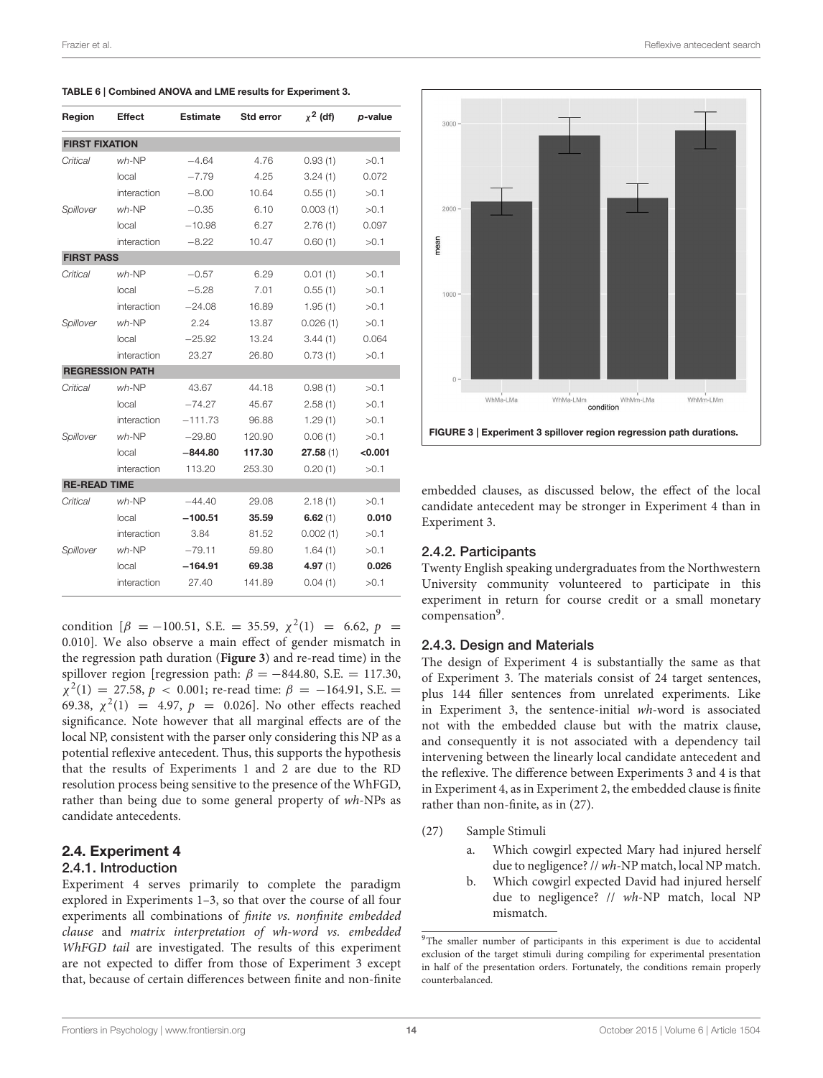| Region                | <b>Effect</b>          | <b>Estimate</b> | Std error | $\chi^2$ (df) | p-value |
|-----------------------|------------------------|-----------------|-----------|---------------|---------|
| <b>FIRST FIXATION</b> |                        |                 |           |               |         |
| Critical              | $wh$ -NP               | $-4.64$         | 4.76      | 0.93(1)       | >0.1    |
|                       | local                  | $-7.79$         | 4.25      | 3.24(1)       | 0.072   |
|                       | interaction            | $-8.00$         | 10.64     | 0.55(1)       | >0.1    |
| Spillover             | $wh$ -NP               | $-0.35$         | 6.10      | 0.003(1)      | >0.1    |
|                       | local                  | $-10.98$        | 6.27      | 2.76(1)       | 0.097   |
|                       | interaction            | $-8.22$         | 10.47     | 0.60(1)       | >0.1    |
| <b>FIRST PASS</b>     |                        |                 |           |               |         |
| Critical              | $wh$ -NP               | $-0.57$         | 6.29      | 0.01(1)       | >0.1    |
|                       | local                  | $-5.28$         | 7.01      | 0.55(1)       | >0.1    |
|                       | interaction            | $-24.08$        | 16.89     | 1.95(1)       | >0.1    |
| Spillover             | $wh$ -NP               | 2.24            | 13.87     | 0.026(1)      | >0.1    |
|                       | local                  | $-25.92$        | 13.24     | 3.44(1)       | 0.064   |
|                       | interaction            | 23.27           | 26.80     | 0.73(1)       | >0.1    |
|                       | <b>REGRESSION PATH</b> |                 |           |               |         |
| Critical              | $wh$ -NP               | 43.67           | 44.18     | 0.98(1)       | >0.1    |
|                       | local                  | $-74.27$        | 45.67     | 2.58(1)       | >0.1    |
|                       | interaction            | $-111.73$       | 96.88     | 1.29(1)       | >0.1    |
| Spillover             | $wh-NP$                | $-29.80$        | 120.90    | 0.06(1)       | >0.1    |
|                       | local                  | $-844.80$       | 117.30    | 27.58(1)      | < 0.001 |
|                       | interaction            | 113.20          | 253.30    | 0.20(1)       | >0.1    |
| <b>RE-READ TIME</b>   |                        |                 |           |               |         |
| Critical              | $wh$ -NP               | $-44.40$        | 29.08     | 2.18(1)       | >0.1    |
|                       | local                  | $-100.51$       | 35.59     | 6.62(1)       | 0.010   |
|                       | interaction            | 3.84            | 81.52     | 0.002(1)      | >0.1    |
| Spillover             | $wh-NP$                | $-79.11$        | 59.80     | 1.64(1)       | >0.1    |
|                       | local                  | $-164.91$       | 69.38     | 4.97(1)       | 0.026   |
|                       | interaction            | 27.40           | 141.89    | 0.04(1)       | >0.1    |

<span id="page-13-0"></span>

|  |  |  | TABLE 6   Combined ANOVA and LME results for Experiment 3. |
|--|--|--|------------------------------------------------------------|
|--|--|--|------------------------------------------------------------|

condition  $[\beta = -100.51, S.E. = 35.59, \chi^2(1) = 6.62, p =$ 0.010]. We also observe a main effect of gender mismatch in the regression path duration (**[Figure 3](#page-13-1)**) and re-read time) in the spillover region [regression path:  $\beta = -844.80$ , S.E. = 117.30,  $\chi^2(1) = 27.58, p < 0.001$ ; re-read time:  $\beta = -164.91, S.E.$ 69.38,  $\chi^2(1) = 4.97$ ,  $p = 0.026$ ]. No other effects reached significance. Note however that all marginal effects are of the local NP, consistent with the parser only considering this NP as a potential reflexive antecedent. Thus, this supports the hypothesis that the results of Experiments 1 and 2 are due to the RD resolution process being sensitive to the presence of the WhFGD, rather than being due to some general property of wh-NPs as candidate antecedents.

### 2.4. Experiment 4

#### 2.4.1. Introduction

Experiment 4 serves primarily to complete the paradigm explored in Experiments 1–3, so that over the course of all four experiments all combinations of finite vs. nonfinite embedded clause and matrix interpretation of wh-word vs. embedded WhFGD tail are investigated. The results of this experiment are not expected to differ from those of Experiment 3 except that, because of certain differences between finite and non-finite



<span id="page-13-1"></span>embedded clauses, as discussed below, the effect of the local candidate antecedent may be stronger in Experiment 4 than in Experiment 3.

### 2.4.2. Participants

Twenty English speaking undergraduates from the Northwestern University community volunteered to participate in this experiment in return for course credit or a small monetary compensation<sup>[9](#page-13-2)</sup>.

#### 2.4.3. Design and Materials

The design of Experiment 4 is substantially the same as that of Experiment 3. The materials consist of 24 target sentences, plus 144 filler sentences from unrelated experiments. Like in Experiment 3, the sentence-initial wh-word is associated not with the embedded clause but with the matrix clause, and consequently it is not associated with a dependency tail intervening between the linearly local candidate antecedent and the reflexive. The difference between Experiments 3 and 4 is that in Experiment 4, as in Experiment 2, the embedded clause is finite rather than non-finite, as in [\(27\).](#page-13-3)

- <span id="page-13-3"></span>(27) Sample Stimuli
	- a. Which cowgirl expected Mary had injured herself due to negligence? // wh-NP match, local NP match.
	- b. Which cowgirl expected David had injured herself due to negligence? // wh-NP match, local NP mismatch.

<span id="page-13-2"></span><sup>&</sup>lt;sup>9</sup>The smaller number of participants in this experiment is due to accidental exclusion of the target stimuli during compiling for experimental presentation in half of the presentation orders. Fortunately, the conditions remain properly counterbalanced.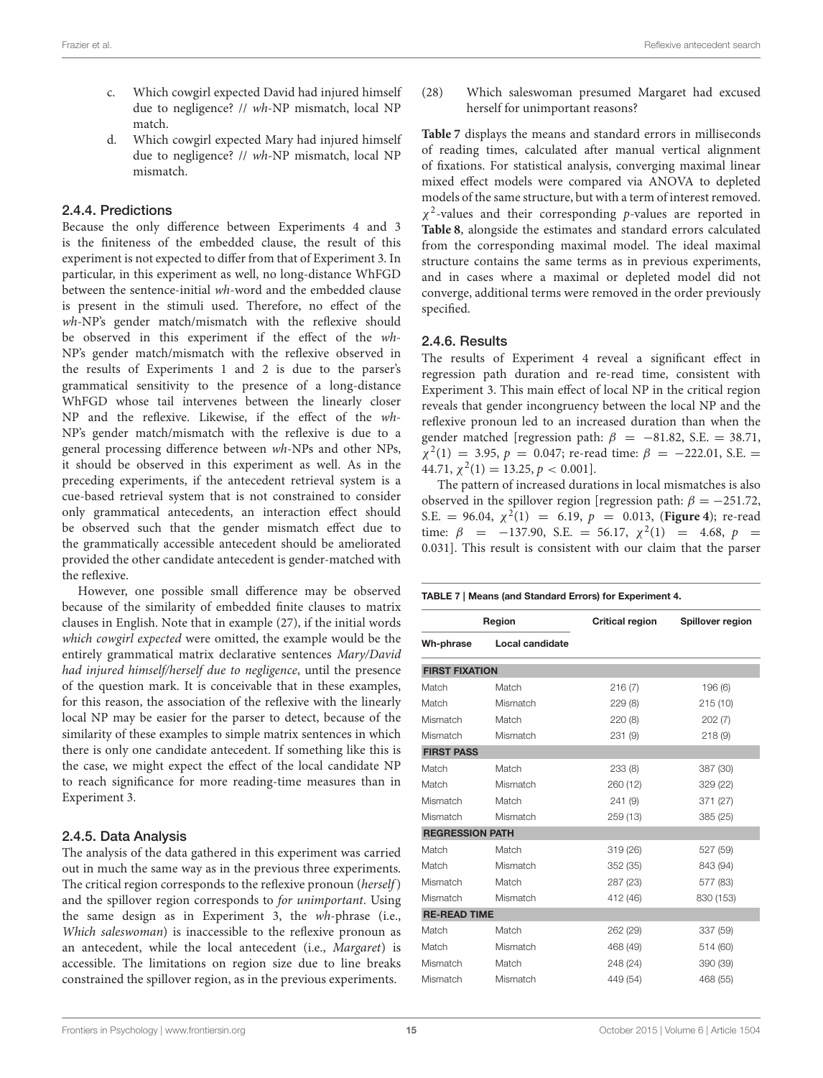- c. Which cowgirl expected David had injured himself due to negligence? // wh-NP mismatch, local NP match.
- d. Which cowgirl expected Mary had injured himself due to negligence? // wh-NP mismatch, local NP mismatch.

### 2.4.4. Predictions

Because the only difference between Experiments 4 and 3 is the finiteness of the embedded clause, the result of this experiment is not expected to differ from that of Experiment 3. In particular, in this experiment as well, no long-distance WhFGD between the sentence-initial wh-word and the embedded clause is present in the stimuli used. Therefore, no effect of the wh-NP's gender match/mismatch with the reflexive should be observed in this experiment if the effect of the wh-NP's gender match/mismatch with the reflexive observed in the results of Experiments 1 and 2 is due to the parser's grammatical sensitivity to the presence of a long-distance WhFGD whose tail intervenes between the linearly closer NP and the reflexive. Likewise, if the effect of the wh-NP's gender match/mismatch with the reflexive is due to a general processing difference between wh-NPs and other NPs, it should be observed in this experiment as well. As in the preceding experiments, if the antecedent retrieval system is a cue-based retrieval system that is not constrained to consider only grammatical antecedents, an interaction effect should be observed such that the gender mismatch effect due to the grammatically accessible antecedent should be ameliorated provided the other candidate antecedent is gender-matched with the reflexive.

However, one possible small difference may be observed because of the similarity of embedded finite clauses to matrix clauses in English. Note that in example [\(27\),](#page-13-3) if the initial words which cowgirl expected were omitted, the example would be the entirely grammatical matrix declarative sentences Mary/David had injured himself/herself due to negligence, until the presence of the question mark. It is conceivable that in these examples, for this reason, the association of the reflexive with the linearly local NP may be easier for the parser to detect, because of the similarity of these examples to simple matrix sentences in which there is only one candidate antecedent. If something like this is the case, we might expect the effect of the local candidate NP to reach significance for more reading-time measures than in Experiment 3.

### 2.4.5. Data Analysis

The analysis of the data gathered in this experiment was carried out in much the same way as in the previous three experiments. The critical region corresponds to the reflexive pronoun (herself) and the spillover region corresponds to for unimportant. Using the same design as in Experiment 3, the wh-phrase (i.e., Which saleswoman) is inaccessible to the reflexive pronoun as an antecedent, while the local antecedent (i.e., Margaret) is accessible. The limitations on region size due to line breaks constrained the spillover region, as in the previous experiments.

(28) Which saleswoman presumed Margaret had excused herself for unimportant reasons?

**[Table 7](#page-14-0)** displays the means and standard errors in milliseconds of reading times, calculated after manual vertical alignment of fixations. For statistical analysis, converging maximal linear mixed effect models were compared via ANOVA to depleted models of the same structure, but with a term of interest removed.  $\chi^2$ -values and their corresponding p-values are reported in **[Table 8](#page-15-1)**, alongside the estimates and standard errors calculated from the corresponding maximal model. The ideal maximal structure contains the same terms as in previous experiments, and in cases where a maximal or depleted model did not converge, additional terms were removed in the order previously specified.

### 2.4.6. Results

The results of Experiment 4 reveal a significant effect in regression path duration and re-read time, consistent with Experiment 3. This main effect of local NP in the critical region reveals that gender incongruency between the local NP and the reflexive pronoun led to an increased duration than when the gender matched [regression path:  $\beta$  = -81.82, S.E. = 38.71,  $\chi^2(1) = 3.95, p = 0.047$ ; re-read time:  $\beta = -222.01, S.E.$ 44.71,  $\chi^2(1) = 13.25, p < 0.001$ .

The pattern of increased durations in local mismatches is also observed in the spillover region [regression path:  $\beta = -251.72$ , S.E. = 96.04,  $\chi^2(1)$  = 6.19,  $p = 0.013$ , (**[Figure 4](#page-15-2)**); re-read time:  $\beta$  = -137.90, S.E. = 56.17,  $\chi^2(1)$  = 4.68,  $p$  = 0.031]. This result is consistent with our claim that the parser

<span id="page-14-0"></span>

| TABLE 7   Means (and Standard Errors) for Experiment 4. |                 |                        |                  |  |
|---------------------------------------------------------|-----------------|------------------------|------------------|--|
|                                                         | Region          | <b>Critical region</b> | Spillover region |  |
| Wh-phrase                                               | Local candidate |                        |                  |  |
| <b>FIRST FIXATION</b>                                   |                 |                        |                  |  |
| Match                                                   | Match           | 216(7)                 | 196 (6)          |  |
| Match                                                   | Mismatch        | 229(8)                 | 215 (10)         |  |
| Mismatch                                                | Match           | 220 (8)                | 202(7)           |  |
| <b>Mismatch</b>                                         | Mismatch        | 231 (9)                | 218(9)           |  |
| <b>FIRST PASS</b>                                       |                 |                        |                  |  |
| Match                                                   | Match           | 233 (8)                | 387 (30)         |  |
| Match                                                   | Mismatch        | 260 (12)               | 329 (22)         |  |
| <b>Mismatch</b>                                         | Match           | 241 (9)                | 371 (27)         |  |
| <b>Mismatch</b>                                         | Mismatch        | 259 (13)               | 385 (25)         |  |
| <b>REGRESSION PATH</b>                                  |                 |                        |                  |  |
| Match                                                   | Match           | 319 (26)               | 527 (59)         |  |
| Match                                                   | Mismatch        | 352 (35)               | 843 (94)         |  |
| Mismatch                                                | Match           | 287 (23)               | 577 (83)         |  |
| Mismatch                                                | Mismatch        | 412 (46)               | 830 (153)        |  |
| <b>RE-READ TIME</b>                                     |                 |                        |                  |  |
| Match                                                   | Match           | 262 (29)               | 337 (59)         |  |
| Match                                                   | Mismatch        | 468 (49)               | 514 (60)         |  |
| Mismatch                                                | Match           | 248 (24)               | 390 (39)         |  |
| Mismatch                                                | Mismatch        | 449 (54)               | 468 (55)         |  |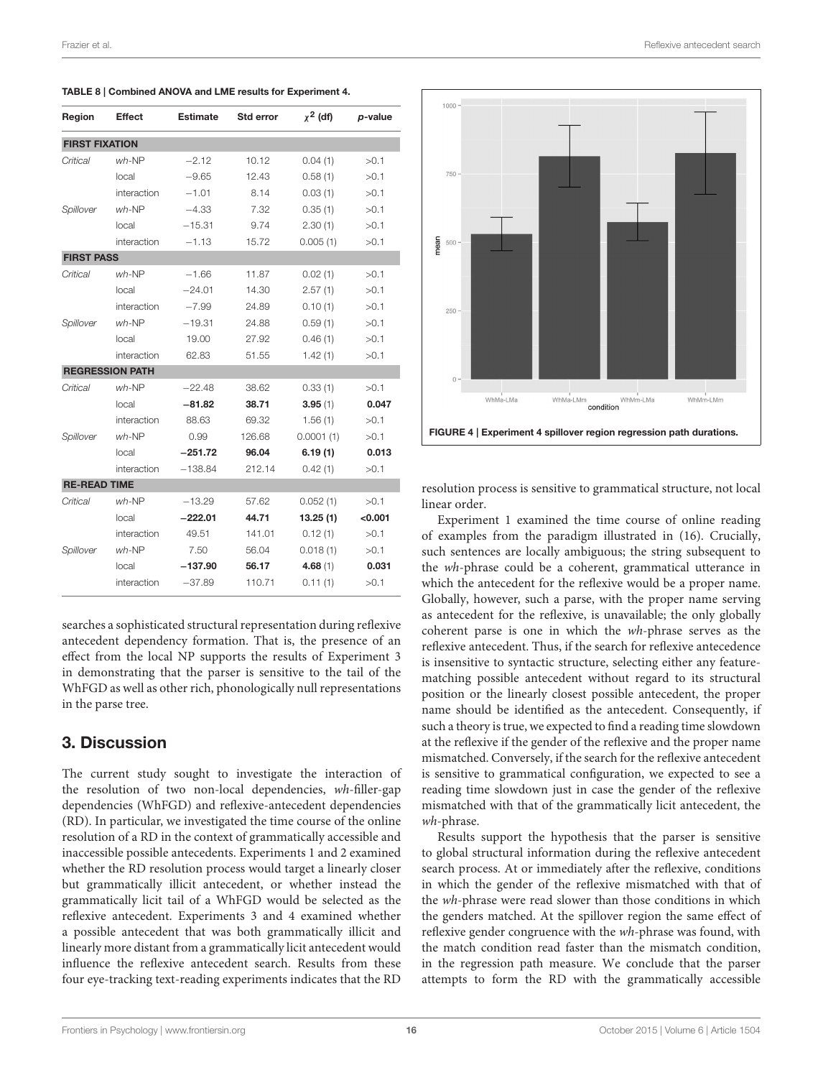| Region                | <b>Effect</b>          | <b>Estimate</b> | Std error | $x^2$ (df) | p-value |
|-----------------------|------------------------|-----------------|-----------|------------|---------|
| <b>FIRST FIXATION</b> |                        |                 |           |            |         |
| Critical              | $wh$ -NP               | $-2.12$         | 10.12     | 0.04(1)    | >0.1    |
|                       | local                  | $-9.65$         | 12.43     | 0.58(1)    | >0.1    |
|                       | interaction            | $-1.01$         | 8.14      | 0.03(1)    | >0.1    |
| Spillover             | $wh-NP$                | $-4.33$         | 7.32      | 0.35(1)    | >0.1    |
|                       | local                  | $-15.31$        | 9.74      | 2.30(1)    | >0.1    |
|                       | interaction            | $-1.13$         | 15.72     | 0.005(1)   | >0.1    |
| <b>FIRST PASS</b>     |                        |                 |           |            |         |
| Critical              | $wh-NP$                | $-1.66$         | 11.87     | 0.02(1)    | >0.1    |
|                       | local                  | $-24.01$        | 14.30     | 2.57(1)    | >0.1    |
|                       | interaction            | $-7.99$         | 24.89     | 0.10(1)    | >0.1    |
| Spillover             | $wh$ -NP               | $-19.31$        | 24.88     | 0.59(1)    | >0.1    |
|                       | local                  | 19.00           | 27.92     | 0.46(1)    | >0.1    |
|                       | interaction            | 62.83           | 51.55     | 1.42(1)    | >0.1    |
|                       | <b>REGRESSION PATH</b> |                 |           |            |         |
| Critical              | $wh-NP$                | $-22.48$        | 38.62     | 0.33(1)    | >0.1    |
|                       | local                  | $-81.82$        | 38.71     | 3.95(1)    | 0.047   |
|                       | interaction            | 88.63           | 69.32     | 1.56(1)    | >0.1    |
| Spillover             | $wh$ -NP               | 0.99            | 126.68    | 0.0001(1)  | >0.1    |
|                       | local                  | $-251.72$       | 96.04     | 6.19(1)    | 0.013   |
|                       | interaction            | $-138.84$       | 212.14    | 0.42(1)    | >0.1    |
| <b>RE-READ TIME</b>   |                        |                 |           |            |         |
| Critical              | $wh$ -NP               | $-13.29$        | 57.62     | 0.052(1)   | >0.1    |
|                       | local                  | $-222.01$       | 44.71     | 13.25(1)   | < 0.001 |
|                       | interaction            | 49.51           | 141.01    | 0.12(1)    | >0.1    |
| Spillover             | $wh$ -NP               | 7.50            | 56.04     | 0.018(1)   | >0.1    |
|                       | local                  | $-137.90$       | 56.17     | 4.68(1)    | 0.031   |
|                       | interaction            | $-37.89$        | 110.71    | 0.11(1)    | >0.1    |

<span id="page-15-1"></span>TABLE 8 | Combined ANOVA and LME results for Experiment 4.

searches a sophisticated structural representation during reflexive antecedent dependency formation. That is, the presence of an effect from the local NP supports the results of Experiment 3 in demonstrating that the parser is sensitive to the tail of the WhFGD as well as other rich, phonologically null representations in the parse tree.

# <span id="page-15-0"></span>3. Discussion

The current study sought to investigate the interaction of the resolution of two non-local dependencies, wh-filler-gap dependencies (WhFGD) and reflexive-antecedent dependencies (RD). In particular, we investigated the time course of the online resolution of a RD in the context of grammatically accessible and inaccessible possible antecedents. Experiments 1 and 2 examined whether the RD resolution process would target a linearly closer but grammatically illicit antecedent, or whether instead the grammatically licit tail of a WhFGD would be selected as the reflexive antecedent. Experiments 3 and 4 examined whether a possible antecedent that was both grammatically illicit and linearly more distant from a grammatically licit antecedent would influence the reflexive antecedent search. Results from these four eye-tracking text-reading experiments indicates that the RD





<span id="page-15-2"></span>resolution process is sensitive to grammatical structure, not local linear order.

Experiment 1 examined the time course of online reading of examples from the paradigm illustrated in [\(16\).](#page-5-5) Crucially, such sentences are locally ambiguous; the string subsequent to the wh-phrase could be a coherent, grammatical utterance in which the antecedent for the reflexive would be a proper name. Globally, however, such a parse, with the proper name serving as antecedent for the reflexive, is unavailable; the only globally coherent parse is one in which the wh-phrase serves as the reflexive antecedent. Thus, if the search for reflexive antecedence is insensitive to syntactic structure, selecting either any featurematching possible antecedent without regard to its structural position or the linearly closest possible antecedent, the proper name should be identified as the antecedent. Consequently, if such a theory is true, we expected to find a reading time slowdown at the reflexive if the gender of the reflexive and the proper name mismatched. Conversely, if the search for the reflexive antecedent is sensitive to grammatical configuration, we expected to see a reading time slowdown just in case the gender of the reflexive mismatched with that of the grammatically licit antecedent, the wh-phrase.

Results support the hypothesis that the parser is sensitive to global structural information during the reflexive antecedent search process. At or immediately after the reflexive, conditions in which the gender of the reflexive mismatched with that of the wh-phrase were read slower than those conditions in which the genders matched. At the spillover region the same effect of reflexive gender congruence with the wh-phrase was found, with the match condition read faster than the mismatch condition, in the regression path measure. We conclude that the parser attempts to form the RD with the grammatically accessible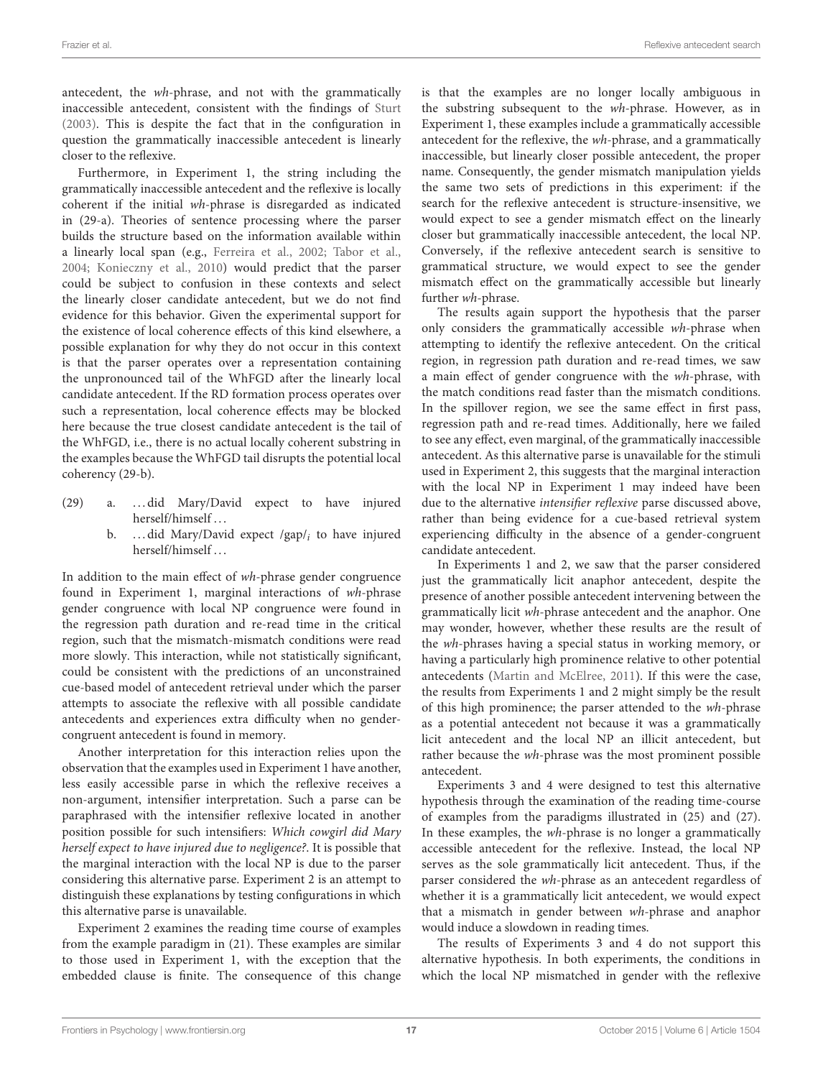antecedent, the wh-phrase, and not with the grammatically inaccessible antecedent, consistent with the findings of [Sturt](#page-18-4) [\(2003\)](#page-18-4). This is despite the fact that in the configuration in question the grammatically inaccessible antecedent is linearly closer to the reflexive.

Furthermore, in Experiment 1, the string including the grammatically inaccessible antecedent and the reflexive is locally coherent if the initial wh-phrase is disregarded as indicated in [\(29-a\).](#page-16-0) Theories of sentence processing where the parser builds the structure based on the information available within a linearly local span (e.g., [Ferreira et al., 2002;](#page-18-21) [Tabor et al.,](#page-18-22) [2004;](#page-18-22) [Konieczny et al., 2010\)](#page-18-23) would predict that the parser could be subject to confusion in these contexts and select the linearly closer candidate antecedent, but we do not find evidence for this behavior. Given the experimental support for the existence of local coherence effects of this kind elsewhere, a possible explanation for why they do not occur in this context is that the parser operates over a representation containing the unpronounced tail of the WhFGD after the linearly local candidate antecedent. If the RD formation process operates over such a representation, local coherence effects may be blocked here because the true closest candidate antecedent is the tail of the WhFGD, i.e., there is no actual locally coherent substring in the examples because the WhFGD tail disrupts the potential local coherency [\(29-b\).](#page-16-1)

- <span id="page-16-1"></span><span id="page-16-0"></span>(29) a. . . . did Mary/David expect to have injured herself/himself . . .
	- b. ... did Mary/David expect /gap/ $_i$  to have injured herself/himself . . .

In addition to the main effect of wh-phrase gender congruence found in Experiment 1, marginal interactions of wh-phrase gender congruence with local NP congruence were found in the regression path duration and re-read time in the critical region, such that the mismatch-mismatch conditions were read more slowly. This interaction, while not statistically significant, could be consistent with the predictions of an unconstrained cue-based model of antecedent retrieval under which the parser attempts to associate the reflexive with all possible candidate antecedents and experiences extra difficulty when no gendercongruent antecedent is found in memory.

Another interpretation for this interaction relies upon the observation that the examples used in Experiment 1 have another, less easily accessible parse in which the reflexive receives a non-argument, intensifier interpretation. Such a parse can be paraphrased with the intensifier reflexive located in another position possible for such intensifiers: Which cowgirl did Mary herself expect to have injured due to negligence?. It is possible that the marginal interaction with the local NP is due to the parser considering this alternative parse. Experiment 2 is an attempt to distinguish these explanations by testing configurations in which this alternative parse is unavailable.

Experiment 2 examines the reading time course of examples from the example paradigm in [\(21\).](#page-9-2) These examples are similar to those used in Experiment 1, with the exception that the embedded clause is finite. The consequence of this change is that the examples are no longer locally ambiguous in the substring subsequent to the wh-phrase. However, as in Experiment 1, these examples include a grammatically accessible antecedent for the reflexive, the wh-phrase, and a grammatically inaccessible, but linearly closer possible antecedent, the proper name. Consequently, the gender mismatch manipulation yields the same two sets of predictions in this experiment: if the search for the reflexive antecedent is structure-insensitive, we would expect to see a gender mismatch effect on the linearly closer but grammatically inaccessible antecedent, the local NP. Conversely, if the reflexive antecedent search is sensitive to grammatical structure, we would expect to see the gender mismatch effect on the grammatically accessible but linearly further wh-phrase.

The results again support the hypothesis that the parser only considers the grammatically accessible wh-phrase when attempting to identify the reflexive antecedent. On the critical region, in regression path duration and re-read times, we saw a main effect of gender congruence with the wh-phrase, with the match conditions read faster than the mismatch conditions. In the spillover region, we see the same effect in first pass, regression path and re-read times. Additionally, here we failed to see any effect, even marginal, of the grammatically inaccessible antecedent. As this alternative parse is unavailable for the stimuli used in Experiment 2, this suggests that the marginal interaction with the local NP in Experiment 1 may indeed have been due to the alternative intensifier reflexive parse discussed above, rather than being evidence for a cue-based retrieval system experiencing difficulty in the absence of a gender-congruent candidate antecedent.

In Experiments 1 and 2, we saw that the parser considered just the grammatically licit anaphor antecedent, despite the presence of another possible antecedent intervening between the grammatically licit wh-phrase antecedent and the anaphor. One may wonder, however, whether these results are the result of the wh-phrases having a special status in working memory, or having a particularly high prominence relative to other potential antecedents [\(Martin and McElree, 2011\)](#page-18-28). If this were the case, the results from Experiments 1 and 2 might simply be the result of this high prominence; the parser attended to the wh-phrase as a potential antecedent not because it was a grammatically licit antecedent and the local NP an illicit antecedent, but rather because the wh-phrase was the most prominent possible antecedent.

Experiments 3 and 4 were designed to test this alternative hypothesis through the examination of the reading time-course of examples from the paradigms illustrated in [\(25\)](#page-11-3) and [\(27\).](#page-13-3) In these examples, the wh-phrase is no longer a grammatically accessible antecedent for the reflexive. Instead, the local NP serves as the sole grammatically licit antecedent. Thus, if the parser considered the wh-phrase as an antecedent regardless of whether it is a grammatically licit antecedent, we would expect that a mismatch in gender between wh-phrase and anaphor would induce a slowdown in reading times.

The results of Experiments 3 and 4 do not support this alternative hypothesis. In both experiments, the conditions in which the local NP mismatched in gender with the reflexive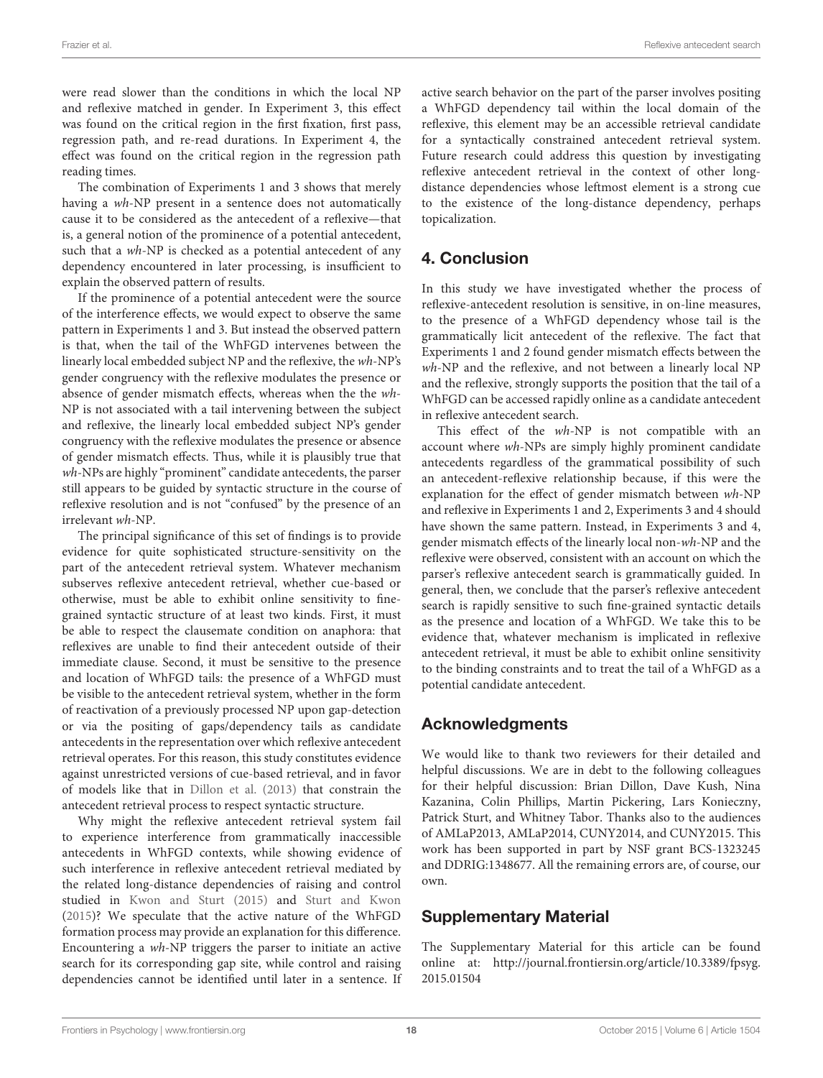were read slower than the conditions in which the local NP and reflexive matched in gender. In Experiment 3, this effect was found on the critical region in the first fixation, first pass, regression path, and re-read durations. In Experiment 4, the effect was found on the critical region in the regression path reading times.

The combination of Experiments 1 and 3 shows that merely having a wh-NP present in a sentence does not automatically cause it to be considered as the antecedent of a reflexive—that is, a general notion of the prominence of a potential antecedent, such that a wh-NP is checked as a potential antecedent of any dependency encountered in later processing, is insufficient to explain the observed pattern of results.

If the prominence of a potential antecedent were the source of the interference effects, we would expect to observe the same pattern in Experiments 1 and 3. But instead the observed pattern is that, when the tail of the WhFGD intervenes between the linearly local embedded subject NP and the reflexive, the wh-NP's gender congruency with the reflexive modulates the presence or absence of gender mismatch effects, whereas when the the wh-NP is not associated with a tail intervening between the subject and reflexive, the linearly local embedded subject NP's gender congruency with the reflexive modulates the presence or absence of gender mismatch effects. Thus, while it is plausibly true that wh-NPs are highly "prominent" candidate antecedents, the parser still appears to be guided by syntactic structure in the course of reflexive resolution and is not "confused" by the presence of an irrelevant wh-NP.

The principal significance of this set of findings is to provide evidence for quite sophisticated structure-sensitivity on the part of the antecedent retrieval system. Whatever mechanism subserves reflexive antecedent retrieval, whether cue-based or otherwise, must be able to exhibit online sensitivity to finegrained syntactic structure of at least two kinds. First, it must be able to respect the clausemate condition on anaphora: that reflexives are unable to find their antecedent outside of their immediate clause. Second, it must be sensitive to the presence and location of WhFGD tails: the presence of a WhFGD must be visible to the antecedent retrieval system, whether in the form of reactivation of a previously processed NP upon gap-detection or via the positing of gaps/dependency tails as candidate antecedents in the representation over which reflexive antecedent retrieval operates. For this reason, this study constitutes evidence against unrestricted versions of cue-based retrieval, and in favor of models like that in [Dillon et al. \(2013\)](#page-18-12) that constrain the antecedent retrieval process to respect syntactic structure.

Why might the reflexive antecedent retrieval system fail to experience interference from grammatically inaccessible antecedents in WhFGD contexts, while showing evidence of such interference in reflexive antecedent retrieval mediated by the related long-distance dependencies of raising and control studied in [Kwon and Sturt \(2015\)](#page-18-24) and [Sturt and Kwon](#page-18-25) [\(2015\)](#page-18-25)? We speculate that the active nature of the WhFGD formation process may provide an explanation for this difference. Encountering a wh-NP triggers the parser to initiate an active search for its corresponding gap site, while control and raising dependencies cannot be identified until later in a sentence. If active search behavior on the part of the parser involves positing a WhFGD dependency tail within the local domain of the reflexive, this element may be an accessible retrieval candidate for a syntactically constrained antecedent retrieval system. Future research could address this question by investigating reflexive antecedent retrieval in the context of other longdistance dependencies whose leftmost element is a strong cue to the existence of the long-distance dependency, perhaps topicalization.

# <span id="page-17-0"></span>4. Conclusion

In this study we have investigated whether the process of reflexive-antecedent resolution is sensitive, in on-line measures, to the presence of a WhFGD dependency whose tail is the grammatically licit antecedent of the reflexive. The fact that Experiments 1 and 2 found gender mismatch effects between the wh-NP and the reflexive, and not between a linearly local NP and the reflexive, strongly supports the position that the tail of a WhFGD can be accessed rapidly online as a candidate antecedent in reflexive antecedent search.

This effect of the wh-NP is not compatible with an account where wh-NPs are simply highly prominent candidate antecedents regardless of the grammatical possibility of such an antecedent-reflexive relationship because, if this were the explanation for the effect of gender mismatch between wh-NP and reflexive in Experiments 1 and 2, Experiments 3 and 4 should have shown the same pattern. Instead, in Experiments 3 and 4, gender mismatch effects of the linearly local non-wh-NP and the reflexive were observed, consistent with an account on which the parser's reflexive antecedent search is grammatically guided. In general, then, we conclude that the parser's reflexive antecedent search is rapidly sensitive to such fine-grained syntactic details as the presence and location of a WhFGD. We take this to be evidence that, whatever mechanism is implicated in reflexive antecedent retrieval, it must be able to exhibit online sensitivity to the binding constraints and to treat the tail of a WhFGD as a potential candidate antecedent.

# Acknowledgments

We would like to thank two reviewers for their detailed and helpful discussions. We are in debt to the following colleagues for their helpful discussion: Brian Dillon, Dave Kush, Nina Kazanina, Colin Phillips, Martin Pickering, Lars Konieczny, Patrick Sturt, and Whitney Tabor. Thanks also to the audiences of AMLaP2013, AMLaP2014, CUNY2014, and CUNY2015. This work has been supported in part by NSF grant BCS-1323245 and DDRIG:1348677. All the remaining errors are, of course, our own.

# Supplementary Material

The Supplementary Material for this article can be found [online at: http://journal.frontiersin.org/article/10.3389/fpsyg.](http://journal.frontiersin.org/article/10.3389/fpsyg.2015.01504) 2015.01504